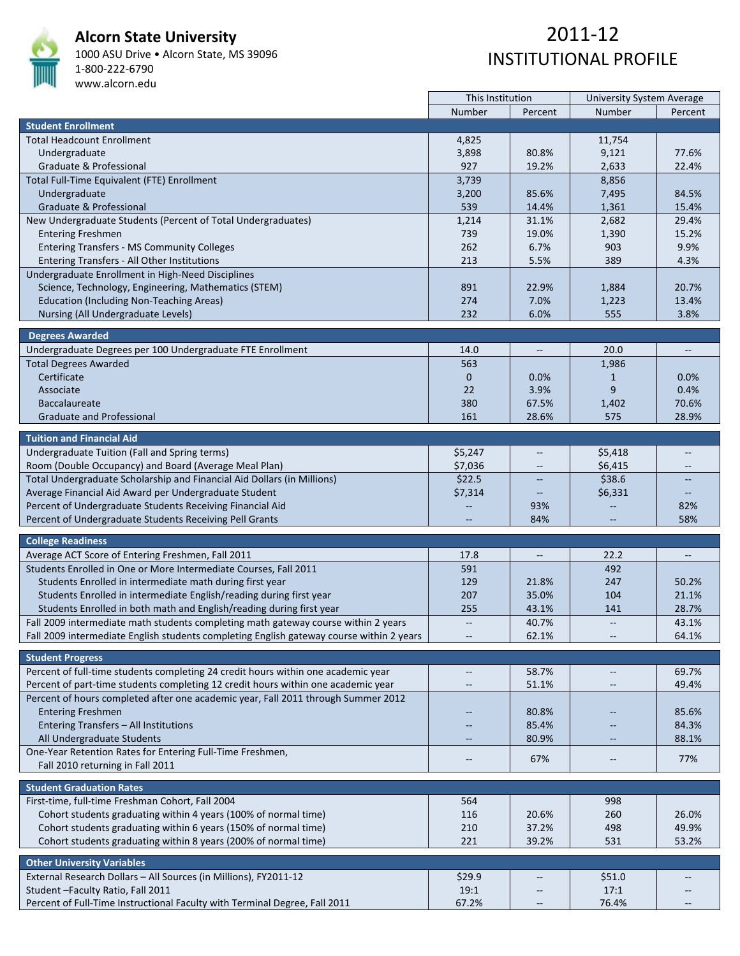

### **Alcorn State University**

1000 ASU Drive • Alcorn State, MS 39096 1‐800‐222‐6790 www.alcorn.edu

|                                                                                          | This Institution         |                          | <b>University System Average</b>                    |                                                     |  |
|------------------------------------------------------------------------------------------|--------------------------|--------------------------|-----------------------------------------------------|-----------------------------------------------------|--|
|                                                                                          | Number                   | Percent                  | Number                                              | Percent                                             |  |
| <b>Student Enrollment</b>                                                                |                          |                          |                                                     |                                                     |  |
| <b>Total Headcount Enrollment</b>                                                        | 4,825                    |                          | 11,754                                              |                                                     |  |
| Undergraduate                                                                            | 3,898                    | 80.8%                    | 9,121                                               | 77.6%                                               |  |
| Graduate & Professional                                                                  | 927                      | 19.2%                    | 2,633                                               | 22.4%                                               |  |
| Total Full-Time Equivalent (FTE) Enrollment                                              | 3,739                    |                          | 8,856                                               |                                                     |  |
| Undergraduate                                                                            | 3,200                    | 85.6%                    | 7,495                                               | 84.5%                                               |  |
| Graduate & Professional                                                                  | 539                      | 14.4%                    | 1,361                                               | 15.4%                                               |  |
| New Undergraduate Students (Percent of Total Undergraduates)                             | 1,214                    | 31.1%                    | 2,682                                               | 29.4%                                               |  |
|                                                                                          | 739                      | 19.0%                    | 1,390                                               | 15.2%                                               |  |
| <b>Entering Freshmen</b>                                                                 | 262                      | 6.7%                     | 903                                                 | 9.9%                                                |  |
| <b>Entering Transfers - MS Community Colleges</b>                                        |                          |                          |                                                     |                                                     |  |
| Entering Transfers - All Other Institutions                                              | 213                      | 5.5%                     | 389                                                 | 4.3%                                                |  |
| Undergraduate Enrollment in High-Need Disciplines                                        |                          |                          |                                                     |                                                     |  |
| Science, Technology, Engineering, Mathematics (STEM)                                     | 891                      | 22.9%                    | 1,884                                               | 20.7%                                               |  |
| <b>Education (Including Non-Teaching Areas)</b>                                          | 274                      | 7.0%                     | 1,223                                               | 13.4%                                               |  |
| Nursing (All Undergraduate Levels)                                                       | 232                      | 6.0%                     | 555                                                 | 3.8%                                                |  |
| <b>Degrees Awarded</b>                                                                   |                          |                          |                                                     |                                                     |  |
|                                                                                          |                          |                          |                                                     |                                                     |  |
| Undergraduate Degrees per 100 Undergraduate FTE Enrollment                               | 14.0                     | $\overline{\phantom{m}}$ | 20.0                                                | $\hspace{0.05cm} -\hspace{0.05cm} -\hspace{0.05cm}$ |  |
| <b>Total Degrees Awarded</b>                                                             | 563                      |                          | 1,986                                               |                                                     |  |
| Certificate                                                                              | $\mathbf 0$              | 0.0%                     | 1                                                   | 0.0%                                                |  |
| Associate                                                                                | 22                       | 3.9%                     | 9                                                   | 0.4%                                                |  |
| <b>Baccalaureate</b>                                                                     | 380                      | 67.5%                    | 1,402                                               | 70.6%                                               |  |
| <b>Graduate and Professional</b>                                                         | 161                      | 28.6%                    | 575                                                 | 28.9%                                               |  |
| <b>Tuition and Financial Aid</b>                                                         |                          |                          |                                                     |                                                     |  |
|                                                                                          |                          |                          |                                                     |                                                     |  |
| Undergraduate Tuition (Fall and Spring terms)                                            | \$5,247                  | $\overline{a}$           | \$5,418                                             |                                                     |  |
| Room (Double Occupancy) and Board (Average Meal Plan)                                    | \$7,036                  | $- -$                    | \$6,415                                             | $- -$                                               |  |
| Total Undergraduate Scholarship and Financial Aid Dollars (in Millions)                  | \$22.5                   |                          | \$38.6                                              |                                                     |  |
| Average Financial Aid Award per Undergraduate Student                                    | \$7,314                  |                          | \$6,331                                             | $\qquad \qquad -$                                   |  |
| Percent of Undergraduate Students Receiving Financial Aid                                |                          | 93%                      |                                                     | 82%                                                 |  |
| Percent of Undergraduate Students Receiving Pell Grants                                  |                          | 84%                      |                                                     | 58%                                                 |  |
| <b>College Readiness</b>                                                                 |                          |                          |                                                     |                                                     |  |
|                                                                                          | 17.8                     |                          | 22.2                                                |                                                     |  |
| Average ACT Score of Entering Freshmen, Fall 2011                                        |                          |                          |                                                     |                                                     |  |
| Students Enrolled in One or More Intermediate Courses, Fall 2011                         | 591                      |                          | 492                                                 |                                                     |  |
| Students Enrolled in intermediate math during first year                                 | 129                      | 21.8%                    | 247                                                 | 50.2%                                               |  |
| Students Enrolled in intermediate English/reading during first year                      | 207                      | 35.0%                    | 104                                                 | 21.1%                                               |  |
| Students Enrolled in both math and English/reading during first year                     | 255                      | 43.1%                    | 141                                                 | 28.7%                                               |  |
| Fall 2009 intermediate math students completing math gateway course within 2 years       | $\overline{\phantom{m}}$ | 40.7%                    | $\overline{\phantom{a}}$                            | 43.1%                                               |  |
| Fall 2009 intermediate English students completing English gateway course within 2 years |                          | 62.1%                    | $\hspace{0.05cm} -\hspace{0.05cm} -\hspace{0.05cm}$ | 64.1%                                               |  |
| <b>Student Progress</b>                                                                  |                          |                          |                                                     |                                                     |  |
| Percent of full-time students completing 24 credit hours within one academic year        | $\overline{a}$           | 58.7%                    | $\overline{\phantom{a}}$                            | 69.7%                                               |  |
|                                                                                          |                          |                          |                                                     |                                                     |  |
| Percent of part-time students completing 12 credit hours within one academic year        | $\qquad \qquad -$        | 51.1%                    |                                                     | 49.4%                                               |  |
| Percent of hours completed after one academic year, Fall 2011 through Summer 2012        |                          |                          |                                                     |                                                     |  |
| <b>Entering Freshmen</b>                                                                 | $\qquad \qquad -$        | 80.8%                    | $-$                                                 | 85.6%                                               |  |
| Entering Transfers - All Institutions                                                    |                          | 85.4%                    |                                                     | 84.3%                                               |  |
| All Undergraduate Students                                                               |                          | 80.9%                    |                                                     | 88.1%                                               |  |
| One-Year Retention Rates for Entering Full-Time Freshmen,                                | $\overline{\phantom{m}}$ | 67%                      | $\overline{\phantom{m}}$                            | 77%                                                 |  |
| Fall 2010 returning in Fall 2011                                                         |                          |                          |                                                     |                                                     |  |
| <b>Student Graduation Rates</b>                                                          |                          |                          |                                                     |                                                     |  |
| First-time, full-time Freshman Cohort, Fall 2004                                         | 564                      |                          | 998                                                 |                                                     |  |
| Cohort students graduating within 4 years (100% of normal time)                          | 116                      | 20.6%                    | 260                                                 | 26.0%                                               |  |
|                                                                                          |                          |                          |                                                     |                                                     |  |
| Cohort students graduating within 6 years (150% of normal time)                          | 210                      | 37.2%                    | 498                                                 | 49.9%                                               |  |
| Cohort students graduating within 8 years (200% of normal time)                          | 221                      | 39.2%                    | 531                                                 | 53.2%                                               |  |
| <b>Other University Variables</b>                                                        |                          |                          |                                                     |                                                     |  |
| External Research Dollars - All Sources (in Millions), FY2011-12                         | \$29.9                   | $-\hbox{--}$             | \$51.0                                              | $\hspace{0.05cm} -\hspace{0.05cm} -\hspace{0.05cm}$ |  |
| Student - Faculty Ratio, Fall 2011                                                       | 19:1                     |                          | 17:1                                                |                                                     |  |
| Percent of Full-Time Instructional Faculty with Terminal Degree, Fall 2011               | 67.2%                    | $- -$                    | 76.4%                                               | $- -$                                               |  |
|                                                                                          |                          |                          |                                                     |                                                     |  |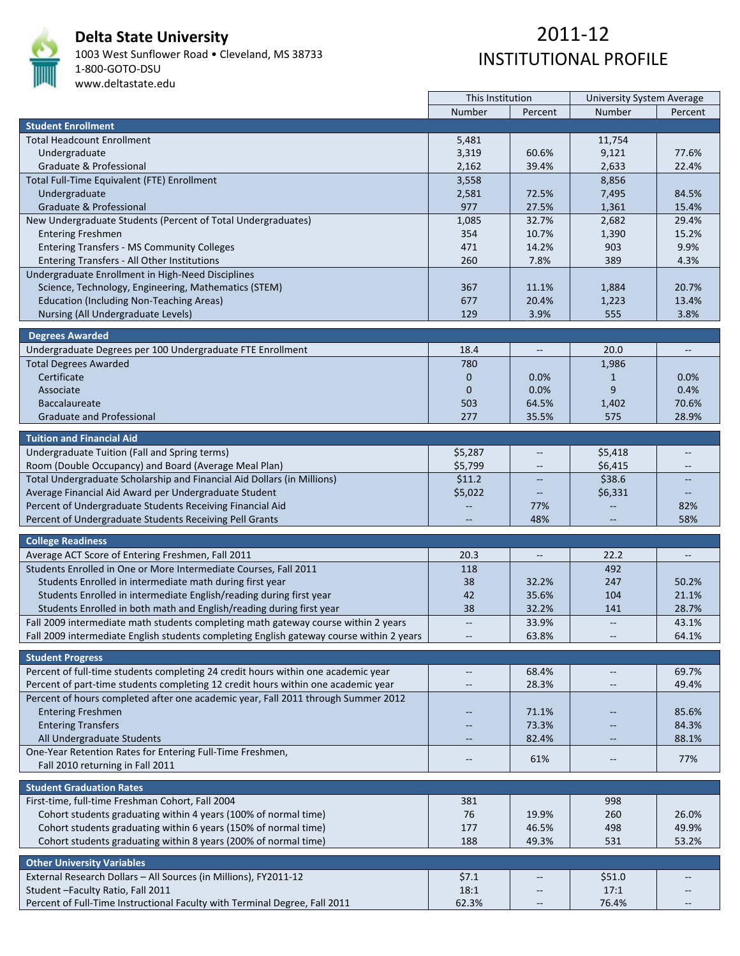

# **Delta State University**

1003 West Sunflower Road • Cleveland, MS 38733 1‐800‐GOTO‐DSU www.deltastate.edu

|                                                                                          | This Institution  |                                   | University System Average |                                                     |  |
|------------------------------------------------------------------------------------------|-------------------|-----------------------------------|---------------------------|-----------------------------------------------------|--|
|                                                                                          | Number            | Percent                           | Number                    | Percent                                             |  |
| <b>Student Enrollment</b>                                                                |                   |                                   |                           |                                                     |  |
| <b>Total Headcount Enrollment</b>                                                        | 5,481             |                                   | 11,754                    |                                                     |  |
| Undergraduate                                                                            | 3,319             | 60.6%                             | 9,121                     | 77.6%                                               |  |
| Graduate & Professional                                                                  | 2,162             | 39.4%                             | 2,633                     | 22.4%                                               |  |
| Total Full-Time Equivalent (FTE) Enrollment                                              | 3,558             |                                   | 8,856                     |                                                     |  |
|                                                                                          |                   | 72.5%                             |                           | 84.5%                                               |  |
| Undergraduate                                                                            | 2,581<br>977      |                                   | 7,495                     |                                                     |  |
| Graduate & Professional                                                                  |                   | 27.5%                             | 1,361                     | 15.4%                                               |  |
| New Undergraduate Students (Percent of Total Undergraduates)                             | 1,085             | 32.7%                             | 2,682                     | 29.4%                                               |  |
| <b>Entering Freshmen</b>                                                                 | 354               | 10.7%                             | 1,390                     | 15.2%                                               |  |
| <b>Entering Transfers - MS Community Colleges</b>                                        | 471               | 14.2%                             | 903                       | 9.9%                                                |  |
| Entering Transfers - All Other Institutions                                              | 260               | 7.8%                              | 389                       | 4.3%                                                |  |
| Undergraduate Enrollment in High-Need Disciplines                                        |                   |                                   |                           |                                                     |  |
| Science, Technology, Engineering, Mathematics (STEM)                                     | 367               | 11.1%                             | 1,884                     | 20.7%                                               |  |
| <b>Education (Including Non-Teaching Areas)</b>                                          | 677               | 20.4%                             | 1,223                     | 13.4%                                               |  |
| Nursing (All Undergraduate Levels)                                                       | 129               | 3.9%                              | 555                       | 3.8%                                                |  |
|                                                                                          |                   |                                   |                           |                                                     |  |
| <b>Degrees Awarded</b>                                                                   |                   |                                   |                           |                                                     |  |
| Undergraduate Degrees per 100 Undergraduate FTE Enrollment                               | 18.4              | $\hspace{0.05cm} \dashrightarrow$ | 20.0                      | $\overline{\phantom{a}}$                            |  |
| <b>Total Degrees Awarded</b>                                                             | 780               |                                   | 1,986                     |                                                     |  |
| Certificate                                                                              | $\mathbf 0$       | 0.0%                              | $\mathbf{1}$              | 0.0%                                                |  |
| Associate                                                                                | $\mathbf 0$       | 0.0%                              | 9                         | 0.4%                                                |  |
| <b>Baccalaureate</b>                                                                     | 503               | 64.5%                             | 1,402                     | 70.6%                                               |  |
| <b>Graduate and Professional</b>                                                         | 277               | 35.5%                             | 575                       | 28.9%                                               |  |
|                                                                                          |                   |                                   |                           |                                                     |  |
| <b>Tuition and Financial Aid</b>                                                         |                   |                                   |                           |                                                     |  |
| Undergraduate Tuition (Fall and Spring terms)                                            | \$5,287           | $-$                               | \$5,418                   |                                                     |  |
| Room (Double Occupancy) and Board (Average Meal Plan)                                    | \$5,799           | $\overline{\phantom{m}}$          | \$6,415                   | $\qquad \qquad -$                                   |  |
| Total Undergraduate Scholarship and Financial Aid Dollars (in Millions)                  | \$11.2            |                                   | \$38.6                    |                                                     |  |
| Average Financial Aid Award per Undergraduate Student                                    | \$5,022           |                                   | \$6,331                   | $\qquad \qquad -$                                   |  |
| Percent of Undergraduate Students Receiving Financial Aid                                |                   | 77%                               |                           | 82%                                                 |  |
| Percent of Undergraduate Students Receiving Pell Grants                                  |                   | 48%                               |                           | 58%                                                 |  |
|                                                                                          |                   |                                   |                           |                                                     |  |
| <b>College Readiness</b>                                                                 |                   |                                   |                           |                                                     |  |
| Average ACT Score of Entering Freshmen, Fall 2011                                        | 20.3              |                                   | 22.2                      |                                                     |  |
| Students Enrolled in One or More Intermediate Courses, Fall 2011                         | 118               |                                   | 492                       |                                                     |  |
| Students Enrolled in intermediate math during first year                                 | 38                | 32.2%                             | 247                       | 50.2%                                               |  |
| Students Enrolled in intermediate English/reading during first year                      | 42                | 35.6%                             | 104                       | 21.1%                                               |  |
| Students Enrolled in both math and English/reading during first year                     | 38                | 32.2%                             | 141                       | 28.7%                                               |  |
| Fall 2009 intermediate math students completing math gateway course within 2 years       | $\overline{a}$    | 33.9%                             | $\overline{\phantom{a}}$  |                                                     |  |
| Fall 2009 intermediate English students completing English gateway course within 2 years |                   | 63.8%                             |                           | 43.1%<br>64.1%                                      |  |
|                                                                                          |                   |                                   |                           |                                                     |  |
| <b>Student Progress</b>                                                                  |                   |                                   |                           |                                                     |  |
| Percent of full-time students completing 24 credit hours within one academic year        | $\overline{a}$    | 68.4%                             | $\overline{\phantom{m}}$  | 69.7%                                               |  |
| Percent of part-time students completing 12 credit hours within one academic year        |                   | 28.3%                             | $-\!$                     | 49.4%                                               |  |
| Percent of hours completed after one academic year, Fall 2011 through Summer 2012        |                   |                                   |                           |                                                     |  |
|                                                                                          |                   |                                   |                           |                                                     |  |
| <b>Entering Freshmen</b>                                                                 | --                | 71.1%                             | $-$                       | 85.6%                                               |  |
| <b>Entering Transfers</b>                                                                |                   | 73.3%                             |                           | 84.3%                                               |  |
| All Undergraduate Students                                                               |                   | 82.4%                             |                           | 88.1%                                               |  |
| One-Year Retention Rates for Entering Full-Time Freshmen,                                | $\qquad \qquad -$ | 61%                               | $\overline{\phantom{a}}$  | 77%                                                 |  |
| Fall 2010 returning in Fall 2011                                                         |                   |                                   |                           |                                                     |  |
| <b>Student Graduation Rates</b>                                                          |                   |                                   |                           |                                                     |  |
| First-time, full-time Freshman Cohort, Fall 2004                                         | 381               |                                   | 998                       |                                                     |  |
|                                                                                          |                   |                                   |                           |                                                     |  |
| Cohort students graduating within 4 years (100% of normal time)                          | 76                | 19.9%                             | 260                       | 26.0%                                               |  |
| Cohort students graduating within 6 years (150% of normal time)                          | 177               | 46.5%                             | 498                       | 49.9%                                               |  |
| Cohort students graduating within 8 years (200% of normal time)                          | 188               | 49.3%                             | 531                       | 53.2%                                               |  |
| <b>Other University Variables</b>                                                        |                   |                                   |                           |                                                     |  |
| External Research Dollars - All Sources (in Millions), FY2011-12                         | \$7.1             |                                   | \$51.0                    | $\hspace{0.05cm} -\hspace{0.05cm} -\hspace{0.05cm}$ |  |
|                                                                                          |                   | $\qquad \qquad -$                 |                           |                                                     |  |
| Student - Faculty Ratio, Fall 2011                                                       | 18:1              |                                   | 17:1                      |                                                     |  |
| Percent of Full-Time Instructional Faculty with Terminal Degree, Fall 2011               | 62.3%             | $\overline{\phantom{m}}$          | 76.4%                     | $\hspace{0.05cm} -\hspace{0.05cm} -\hspace{0.05cm}$ |  |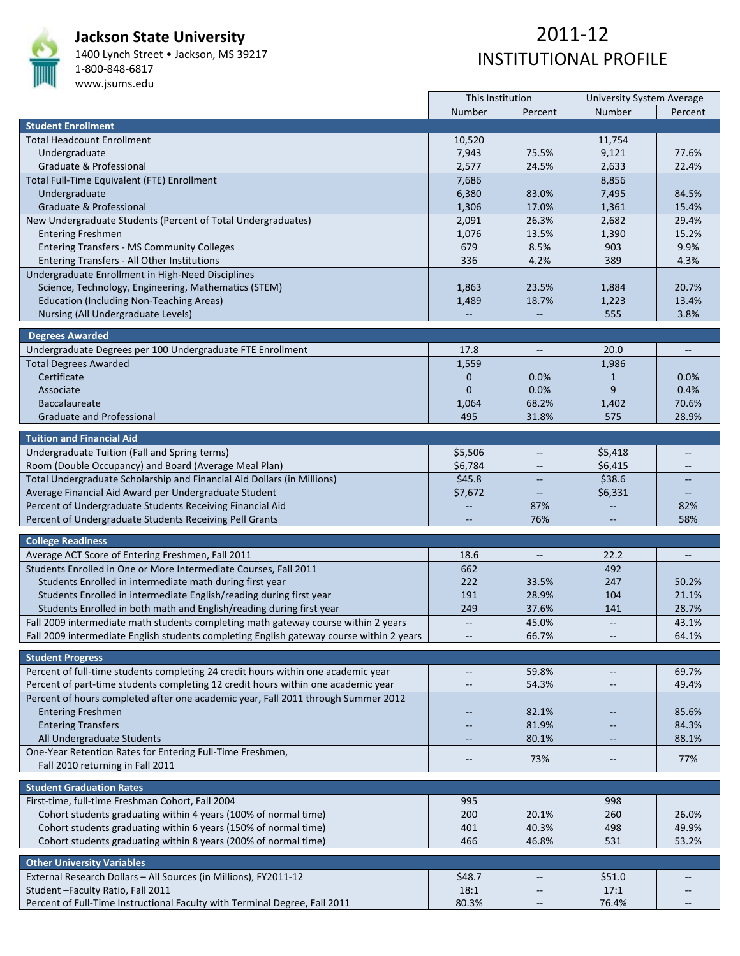

### **Jackson State University**

1400 Lynch Street • Jackson, MS 39217 1‐800‐848‐6817

#### www.jsums.edu

|                                                                                          | This Institution         |                          | University System Average |                          |
|------------------------------------------------------------------------------------------|--------------------------|--------------------------|---------------------------|--------------------------|
|                                                                                          | Number                   | Percent                  | Number                    | Percent                  |
| <b>Student Enrollment</b>                                                                |                          |                          |                           |                          |
| <b>Total Headcount Enrollment</b>                                                        | 10,520                   |                          | 11,754                    |                          |
| Undergraduate                                                                            | 7,943                    | 75.5%                    | 9,121                     | 77.6%                    |
| Graduate & Professional                                                                  | 2,577                    | 24.5%                    | 2,633                     | 22.4%                    |
| Total Full-Time Equivalent (FTE) Enrollment                                              | 7,686                    |                          | 8,856                     |                          |
| Undergraduate                                                                            | 6,380                    | 83.0%                    | 7,495                     | 84.5%                    |
| Graduate & Professional                                                                  | 1,306                    | 17.0%                    | 1,361                     | 15.4%                    |
| New Undergraduate Students (Percent of Total Undergraduates)                             | 2,091                    | 26.3%                    | 2,682                     | 29.4%                    |
| <b>Entering Freshmen</b>                                                                 | 1,076                    | 13.5%                    | 1,390                     | 15.2%                    |
|                                                                                          | 679                      | 8.5%                     | 903                       | 9.9%                     |
| <b>Entering Transfers - MS Community Colleges</b>                                        | 336                      |                          | 389                       |                          |
| Entering Transfers - All Other Institutions                                              |                          | 4.2%                     |                           | 4.3%                     |
| Undergraduate Enrollment in High-Need Disciplines                                        |                          |                          |                           |                          |
| Science, Technology, Engineering, Mathematics (STEM)                                     | 1,863                    | 23.5%                    | 1,884                     | 20.7%                    |
| <b>Education (Including Non-Teaching Areas)</b>                                          | 1,489                    | 18.7%                    | 1,223                     | 13.4%                    |
| Nursing (All Undergraduate Levels)                                                       |                          |                          | 555                       | 3.8%                     |
| <b>Degrees Awarded</b>                                                                   |                          |                          |                           |                          |
|                                                                                          | 17.8                     |                          | 20.0                      | $\overline{\phantom{a}}$ |
| Undergraduate Degrees per 100 Undergraduate FTE Enrollment                               |                          | $\overline{\phantom{a}}$ |                           |                          |
| <b>Total Degrees Awarded</b>                                                             | 1,559                    |                          | 1,986                     |                          |
| Certificate                                                                              | $\mathbf 0$              | 0.0%                     | $\mathbf{1}$              | 0.0%                     |
| Associate                                                                                | $\mathbf{0}$             | 0.0%                     | 9                         | 0.4%                     |
| <b>Baccalaureate</b>                                                                     | 1,064                    | 68.2%                    | 1,402                     | 70.6%                    |
| <b>Graduate and Professional</b>                                                         | 495                      | 31.8%                    | 575                       | 28.9%                    |
| <b>Tuition and Financial Aid</b>                                                         |                          |                          |                           |                          |
| Undergraduate Tuition (Fall and Spring terms)                                            | \$5,506                  | $\overline{\phantom{a}}$ | \$5,418                   | $\overline{\phantom{a}}$ |
|                                                                                          |                          |                          |                           |                          |
| Room (Double Occupancy) and Board (Average Meal Plan)                                    | \$6,784                  |                          | \$6,415                   |                          |
| Total Undergraduate Scholarship and Financial Aid Dollars (in Millions)                  | \$45.8                   |                          | \$38.6                    |                          |
| Average Financial Aid Award per Undergraduate Student                                    | \$7,672                  | $\overline{\phantom{a}}$ | \$6,331                   | $\overline{\phantom{a}}$ |
| Percent of Undergraduate Students Receiving Financial Aid                                |                          | 87%                      |                           | 82%                      |
| Percent of Undergraduate Students Receiving Pell Grants                                  |                          | 76%                      |                           | 58%                      |
| <b>College Readiness</b>                                                                 |                          |                          |                           |                          |
| Average ACT Score of Entering Freshmen, Fall 2011                                        | 18.6                     | $\overline{\phantom{a}}$ | 22.2                      | $\overline{\phantom{a}}$ |
| Students Enrolled in One or More Intermediate Courses, Fall 2011                         | 662                      |                          | 492                       |                          |
| Students Enrolled in intermediate math during first year                                 | 222                      | 33.5%                    | 247                       | 50.2%                    |
|                                                                                          | 191                      | 28.9%                    | 104                       | 21.1%                    |
| Students Enrolled in intermediate English/reading during first year                      |                          |                          |                           |                          |
| Students Enrolled in both math and English/reading during first year                     | 249                      | 37.6%                    | 141                       | 28.7%                    |
| Fall 2009 intermediate math students completing math gateway course within 2 years       | $\overline{\phantom{m}}$ | 45.0%                    | $\overline{\phantom{m}}$  | 43.1%                    |
| Fall 2009 intermediate English students completing English gateway course within 2 years |                          | 66.7%                    |                           | 64.1%                    |
| <b>Student Progress</b>                                                                  |                          |                          |                           |                          |
| Percent of full-time students completing 24 credit hours within one academic year        | $\overline{\phantom{m}}$ | 59.8%                    | $\overline{\phantom{a}}$  | 69.7%                    |
| Percent of part-time students completing 12 credit hours within one academic year        | $-\!$                    | 54.3%                    | $\overline{\phantom{m}}$  | 49.4%                    |
| Percent of hours completed after one academic year, Fall 2011 through Summer 2012        |                          |                          |                           |                          |
|                                                                                          |                          |                          |                           |                          |
| <b>Entering Freshmen</b>                                                                 | $-$                      | 82.1%                    |                           | 85.6%                    |
| <b>Entering Transfers</b>                                                                |                          | 81.9%                    |                           | 84.3%                    |
| All Undergraduate Students                                                               | $\overline{\phantom{a}}$ | 80.1%                    | $\overline{\phantom{m}}$  | 88.1%                    |
| One-Year Retention Rates for Entering Full-Time Freshmen,                                | $-\,-$                   | 73%                      | $-\hbox{--}$              | 77%                      |
| Fall 2010 returning in Fall 2011                                                         |                          |                          |                           |                          |
| <b>Student Graduation Rates</b>                                                          |                          |                          |                           |                          |
| First-time, full-time Freshman Cohort, Fall 2004                                         | 995                      |                          | 998                       |                          |
|                                                                                          |                          |                          |                           |                          |
| Cohort students graduating within 4 years (100% of normal time)                          | 200                      | 20.1%                    | 260                       | 26.0%                    |
| Cohort students graduating within 6 years (150% of normal time)                          | 401                      | 40.3%                    | 498                       | 49.9%                    |
| Cohort students graduating within 8 years (200% of normal time)                          | 466                      | 46.8%                    | 531                       | 53.2%                    |
| <b>Other University Variables</b>                                                        |                          |                          |                           |                          |
| External Research Dollars - All Sources (in Millions), FY2011-12                         | \$48.7                   | $\overline{\phantom{a}}$ | \$51.0                    | $\qquad \qquad -$        |
| Student-Faculty Ratio, Fall 2011                                                         | 18:1                     |                          | 17:1                      |                          |
|                                                                                          | 80.3%                    | $\overline{a}$           | 76.4%                     | $\overline{\phantom{a}}$ |
| Percent of Full-Time Instructional Faculty with Terminal Degree, Fall 2011               |                          |                          |                           |                          |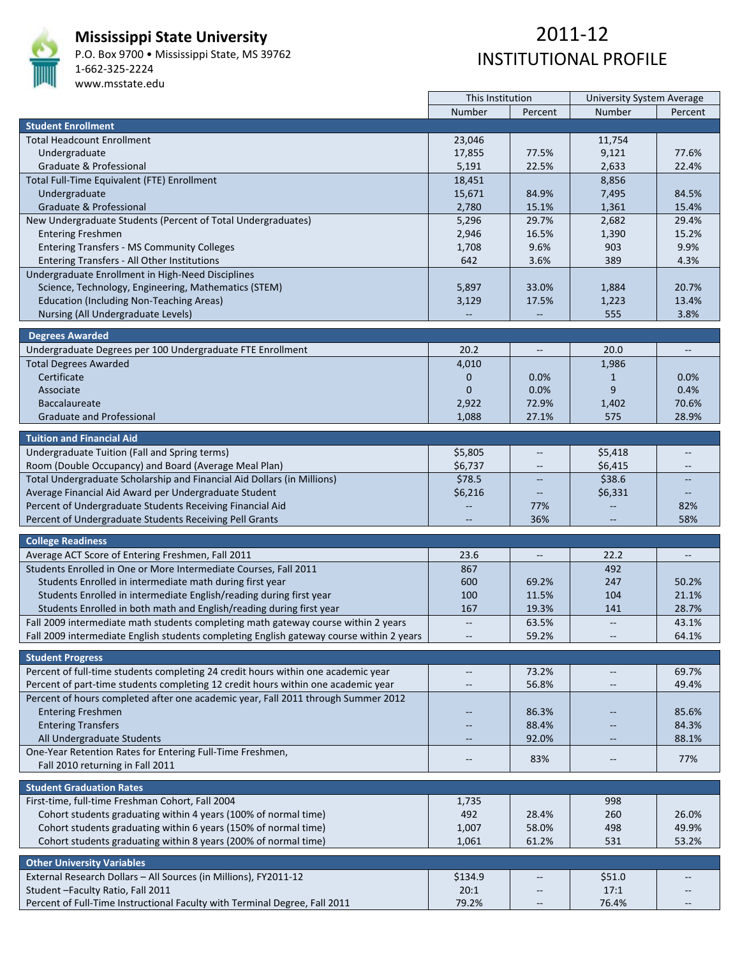

### **Mississippi State University**

P.O. Box 9700 • Mississippi State, MS 39762 1‐662‐325‐2224 www.msstate.edu

# 2011‐12 INSTITUTIONAL PROFILE

|                                                                                          | This Institution         |                          | <b>University System Average</b> |                                   |  |  |
|------------------------------------------------------------------------------------------|--------------------------|--------------------------|----------------------------------|-----------------------------------|--|--|
|                                                                                          | Number                   | Percent                  | Number                           | Percent                           |  |  |
| <b>Student Enrollment</b>                                                                |                          |                          |                                  |                                   |  |  |
| <b>Total Headcount Enrollment</b>                                                        | 23,046                   |                          | 11,754                           |                                   |  |  |
| Undergraduate                                                                            | 17,855                   | 77.5%                    | 9,121                            | 77.6%                             |  |  |
| Graduate & Professional                                                                  | 5,191                    | 22.5%                    | 2,633                            | 22.4%                             |  |  |
| Total Full-Time Equivalent (FTE) Enrollment                                              | 18,451                   |                          | 8,856                            |                                   |  |  |
| Undergraduate                                                                            | 15,671                   | 84.9%                    | 7,495                            | 84.5%                             |  |  |
| Graduate & Professional                                                                  | 2,780                    | 15.1%                    | 1,361                            | 15.4%                             |  |  |
| New Undergraduate Students (Percent of Total Undergraduates)                             | 5,296                    | 29.7%                    | 2,682                            | 29.4%                             |  |  |
| <b>Entering Freshmen</b>                                                                 | 2,946                    | 16.5%                    | 1,390                            | 15.2%                             |  |  |
| <b>Entering Transfers - MS Community Colleges</b>                                        | 1,708                    | 9.6%                     | 903                              | 9.9%                              |  |  |
| Entering Transfers - All Other Institutions                                              | 642                      | 3.6%                     | 389                              | 4.3%                              |  |  |
| Undergraduate Enrollment in High-Need Disciplines                                        |                          |                          |                                  |                                   |  |  |
| Science, Technology, Engineering, Mathematics (STEM)                                     | 5,897                    | 33.0%                    |                                  | 20.7%                             |  |  |
|                                                                                          |                          |                          | 1,884                            | 13.4%                             |  |  |
| <b>Education (Including Non-Teaching Areas)</b>                                          | 3,129                    | 17.5%                    | 1,223                            |                                   |  |  |
| Nursing (All Undergraduate Levels)                                                       |                          |                          | 555                              | 3.8%                              |  |  |
| <b>Degrees Awarded</b>                                                                   |                          |                          |                                  |                                   |  |  |
| Undergraduate Degrees per 100 Undergraduate FTE Enrollment                               | 20.2                     | $\overline{\phantom{a}}$ | 20.0                             | $\hspace{0.05cm} \dashrightarrow$ |  |  |
| <b>Total Degrees Awarded</b>                                                             | 4,010                    |                          | 1,986                            |                                   |  |  |
| Certificate                                                                              | $\mathbf 0$              | 0.0%                     | $\mathbf{1}$                     | 0.0%                              |  |  |
| Associate                                                                                | $\mathbf{0}$             | 0.0%                     | 9                                | 0.4%                              |  |  |
| <b>Baccalaureate</b>                                                                     | 2,922                    | 72.9%                    | 1,402                            | 70.6%                             |  |  |
| <b>Graduate and Professional</b>                                                         | 1,088                    | 27.1%                    | 575                              | 28.9%                             |  |  |
|                                                                                          |                          |                          |                                  |                                   |  |  |
| <b>Tuition and Financial Aid</b>                                                         |                          |                          |                                  |                                   |  |  |
| Undergraduate Tuition (Fall and Spring terms)                                            | \$5,805                  |                          | \$5,418                          | --                                |  |  |
| Room (Double Occupancy) and Board (Average Meal Plan)                                    | \$6,737                  |                          | \$6,415                          |                                   |  |  |
| Total Undergraduate Scholarship and Financial Aid Dollars (in Millions)                  | \$78.5                   |                          | \$38.6                           |                                   |  |  |
| Average Financial Aid Award per Undergraduate Student                                    | \$6,216                  | $\qquad \qquad -$        | \$6,331                          | $\qquad \qquad -$                 |  |  |
| Percent of Undergraduate Students Receiving Financial Aid                                |                          | 77%                      |                                  | 82%                               |  |  |
| Percent of Undergraduate Students Receiving Pell Grants                                  |                          | 36%                      |                                  | 58%                               |  |  |
|                                                                                          |                          |                          |                                  |                                   |  |  |
| <b>College Readiness</b>                                                                 |                          |                          |                                  |                                   |  |  |
| Average ACT Score of Entering Freshmen, Fall 2011                                        | 23.6                     | $\overline{\phantom{m}}$ | 22.2                             | $\overline{\phantom{a}}$          |  |  |
| Students Enrolled in One or More Intermediate Courses, Fall 2011                         | 867                      |                          | 492                              |                                   |  |  |
| Students Enrolled in intermediate math during first year                                 | 600                      | 69.2%                    | 247                              | 50.2%                             |  |  |
| Students Enrolled in intermediate English/reading during first year                      | 100                      | 11.5%                    | 104                              | 21.1%                             |  |  |
| Students Enrolled in both math and English/reading during first year                     | 167                      | 19.3%                    | 141                              | 28.7%                             |  |  |
| Fall 2009 intermediate math students completing math gateway course within 2 years       | $\overline{\phantom{m}}$ | 63.5%                    | $\overline{\phantom{a}}$         | 43.1%                             |  |  |
| Fall 2009 intermediate English students completing English gateway course within 2 years |                          | 59.2%                    |                                  | 64.1%                             |  |  |
|                                                                                          |                          |                          |                                  |                                   |  |  |
| <b>Student Progress</b>                                                                  |                          |                          |                                  |                                   |  |  |
| Percent of full-time students completing 24 credit hours within one academic year        | $\overline{\phantom{a}}$ | 73.2%                    | $\qquad \qquad -$                | 69.7%                             |  |  |
| Percent of part-time students completing 12 credit hours within one academic year        | $\overline{\phantom{m}}$ | 56.8%                    | $\qquad \qquad -$                | 49.4%                             |  |  |
| Percent of hours completed after one academic year, Fall 2011 through Summer 2012        |                          |                          |                                  |                                   |  |  |
| <b>Entering Freshmen</b>                                                                 |                          | 86.3%                    |                                  | 85.6%                             |  |  |
| <b>Entering Transfers</b>                                                                |                          | 88.4%                    |                                  | 84.3%                             |  |  |
| All Undergraduate Students                                                               | $\overline{\phantom{a}}$ | 92.0%                    |                                  | 88.1%                             |  |  |
| One-Year Retention Rates for Entering Full-Time Freshmen,                                |                          |                          |                                  |                                   |  |  |
| Fall 2010 returning in Fall 2011                                                         | $\overline{\phantom{m}}$ | 83%                      | $\qquad \qquad -$                | 77%                               |  |  |
|                                                                                          |                          |                          |                                  |                                   |  |  |
| <b>Student Graduation Rates</b>                                                          |                          |                          |                                  |                                   |  |  |
| First-time, full-time Freshman Cohort, Fall 2004                                         | 1,735                    |                          | 998                              |                                   |  |  |
| Cohort students graduating within 4 years (100% of normal time)                          | 492                      | 28.4%                    | 260                              | 26.0%                             |  |  |
| Cohort students graduating within 6 years (150% of normal time)                          | 1,007                    | 58.0%                    | 498                              | 49.9%                             |  |  |
| Cohort students graduating within 8 years (200% of normal time)                          | 1,061                    | 61.2%                    | 531                              | 53.2%                             |  |  |
|                                                                                          |                          |                          |                                  |                                   |  |  |
| <b>Other University Variables</b>                                                        |                          |                          |                                  |                                   |  |  |
| External Research Dollars - All Sources (in Millions), FY2011-12                         | \$134.9                  |                          | \$51.0                           |                                   |  |  |
| Student-Faculty Ratio, Fall 2011                                                         | 20:1                     |                          | 17:1                             |                                   |  |  |
| Percent of Full-Time Instructional Faculty with Terminal Degree, Fall 2011               | 79.2%                    |                          | 76.4%                            |                                   |  |  |

 $\mathbf{r}$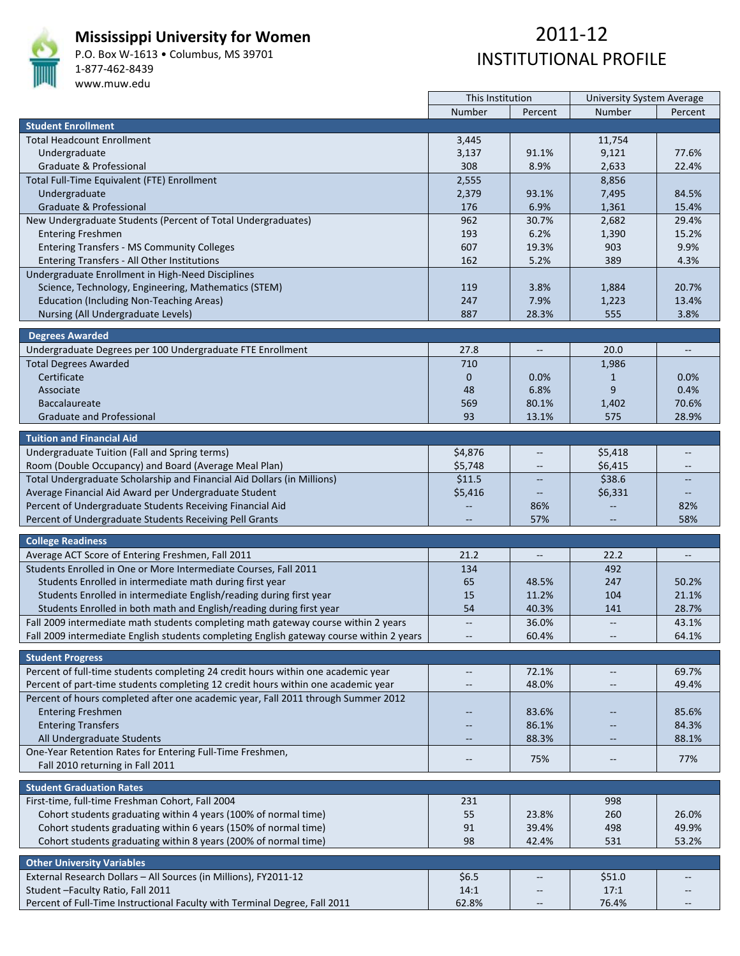

#### **Mississippi University for Women**

P.O. Box W‐1613 • Columbus, MS 39701 1‐877‐462‐8439 www.muw.edu

|                                                                                          | This Institution         |                          | <b>University System Average</b> |                          |
|------------------------------------------------------------------------------------------|--------------------------|--------------------------|----------------------------------|--------------------------|
|                                                                                          | Number                   | Percent                  | Number                           | Percent                  |
| <b>Student Enrollment</b>                                                                |                          |                          |                                  |                          |
| <b>Total Headcount Enrollment</b>                                                        | 3,445                    |                          | 11,754                           |                          |
| Undergraduate                                                                            | 3,137                    | 91.1%                    | 9,121                            | 77.6%                    |
| Graduate & Professional                                                                  | 308                      | 8.9%                     | 2,633                            | 22.4%                    |
| Total Full-Time Equivalent (FTE) Enrollment                                              | 2,555                    |                          | 8,856                            |                          |
| Undergraduate                                                                            | 2,379                    | 93.1%                    | 7,495                            | 84.5%                    |
| Graduate & Professional                                                                  | 176                      | 6.9%                     | 1,361                            | 15.4%                    |
| New Undergraduate Students (Percent of Total Undergraduates)                             | 962                      | 30.7%                    | 2,682                            | 29.4%                    |
| <b>Entering Freshmen</b>                                                                 | 193                      | 6.2%                     | 1,390                            | 15.2%                    |
| <b>Entering Transfers - MS Community Colleges</b>                                        | 607                      | 19.3%                    | 903                              | 9.9%                     |
| Entering Transfers - All Other Institutions                                              | 162                      | 5.2%                     | 389                              | 4.3%                     |
|                                                                                          |                          |                          |                                  |                          |
| Undergraduate Enrollment in High-Need Disciplines                                        |                          |                          |                                  |                          |
| Science, Technology, Engineering, Mathematics (STEM)                                     | 119                      | 3.8%                     | 1,884                            | 20.7%                    |
| <b>Education (Including Non-Teaching Areas)</b>                                          | 247                      | 7.9%                     | 1,223                            | 13.4%                    |
| Nursing (All Undergraduate Levels)                                                       | 887                      | 28.3%                    | 555                              | 3.8%                     |
| <b>Degrees Awarded</b>                                                                   |                          |                          |                                  |                          |
| Undergraduate Degrees per 100 Undergraduate FTE Enrollment                               | 27.8                     | $\overline{\phantom{a}}$ | 20.0                             | $\overline{\phantom{a}}$ |
| <b>Total Degrees Awarded</b>                                                             | 710                      |                          | 1,986                            |                          |
|                                                                                          |                          |                          |                                  |                          |
| Certificate                                                                              | $\mathbf 0$              | $0.0\%$                  | $\mathbf{1}$                     | $0.0\%$                  |
| Associate                                                                                | 48                       | 6.8%                     | 9                                | 0.4%                     |
| <b>Baccalaureate</b>                                                                     | 569                      | 80.1%                    | 1,402                            | 70.6%                    |
| <b>Graduate and Professional</b>                                                         | 93                       | 13.1%                    | 575                              | 28.9%                    |
| <b>Tuition and Financial Aid</b>                                                         |                          |                          |                                  |                          |
| Undergraduate Tuition (Fall and Spring terms)                                            | \$4,876                  | $\overline{\phantom{m}}$ | \$5,418                          |                          |
|                                                                                          | \$5,748                  |                          | \$6,415                          |                          |
| Room (Double Occupancy) and Board (Average Meal Plan)                                    |                          |                          | \$38.6                           |                          |
| Total Undergraduate Scholarship and Financial Aid Dollars (in Millions)                  | \$11.5                   |                          |                                  |                          |
| Average Financial Aid Award per Undergraduate Student                                    | \$5,416                  | $\overline{\phantom{a}}$ | \$6,331                          |                          |
| Percent of Undergraduate Students Receiving Financial Aid                                |                          | 86%                      |                                  | 82%                      |
| Percent of Undergraduate Students Receiving Pell Grants                                  |                          | 57%                      |                                  | 58%                      |
| <b>College Readiness</b>                                                                 |                          |                          |                                  |                          |
| Average ACT Score of Entering Freshmen, Fall 2011                                        | 21.2                     | $\overline{\phantom{a}}$ | 22.2                             | $\overline{\phantom{a}}$ |
| Students Enrolled in One or More Intermediate Courses, Fall 2011                         | 134                      |                          | 492                              |                          |
| Students Enrolled in intermediate math during first year                                 | 65                       | 48.5%                    | 247                              | 50.2%                    |
| Students Enrolled in intermediate English/reading during first year                      | 15                       | 11.2%                    | 104                              | 21.1%                    |
| Students Enrolled in both math and English/reading during first year                     | 54                       | 40.3%                    | 141                              | 28.7%                    |
| Fall 2009 intermediate math students completing math gateway course within 2 years       | $\mathbb{L}^2$           | 36.0%                    | $\overline{\phantom{a}}$         | 43.1%                    |
|                                                                                          |                          | 60.4%                    |                                  |                          |
| Fall 2009 intermediate English students completing English gateway course within 2 years |                          |                          |                                  | 64.1%                    |
| <b>Student Progress</b>                                                                  |                          |                          |                                  |                          |
| Percent of full-time students completing 24 credit hours within one academic year        | $\overline{\phantom{a}}$ | 72.1%                    | $\overline{\phantom{m}}$         | 69.7%                    |
| Percent of part-time students completing 12 credit hours within one academic year        | $\qquad \qquad -$        | 48.0%                    | $\overline{\phantom{m}}$         | 49.4%                    |
| Percent of hours completed after one academic year, Fall 2011 through Summer 2012        |                          |                          |                                  |                          |
| <b>Entering Freshmen</b>                                                                 |                          | 83.6%                    |                                  | 85.6%                    |
| <b>Entering Transfers</b>                                                                |                          | 86.1%                    |                                  | 84.3%                    |
|                                                                                          |                          | 88.3%                    |                                  | 88.1%                    |
| All Undergraduate Students                                                               | $\qquad \qquad -$        |                          | $\qquad \qquad -$                |                          |
| One-Year Retention Rates for Entering Full-Time Freshmen,                                | $\overline{\phantom{m}}$ | 75%                      | $-\!$                            | 77%                      |
| Fall 2010 returning in Fall 2011                                                         |                          |                          |                                  |                          |
| <b>Student Graduation Rates</b>                                                          |                          |                          |                                  |                          |
| First-time, full-time Freshman Cohort, Fall 2004                                         | 231                      |                          | 998                              |                          |
| Cohort students graduating within 4 years (100% of normal time)                          | 55                       | 23.8%                    | 260                              | 26.0%                    |
| Cohort students graduating within 6 years (150% of normal time)                          | 91                       | 39.4%                    | 498                              | 49.9%                    |
| Cohort students graduating within 8 years (200% of normal time)                          | 98                       | 42.4%                    | 531                              | 53.2%                    |
|                                                                                          |                          |                          |                                  |                          |
| <b>Other University Variables</b>                                                        |                          |                          |                                  |                          |
| External Research Dollars - All Sources (in Millions), FY2011-12                         | \$6.5                    |                          | \$51.0                           |                          |
| Student-Faculty Ratio, Fall 2011                                                         | 14:1                     |                          | 17:1                             |                          |
| Percent of Full-Time Instructional Faculty with Terminal Degree, Fall 2011               | 62.8%                    |                          | 76.4%                            |                          |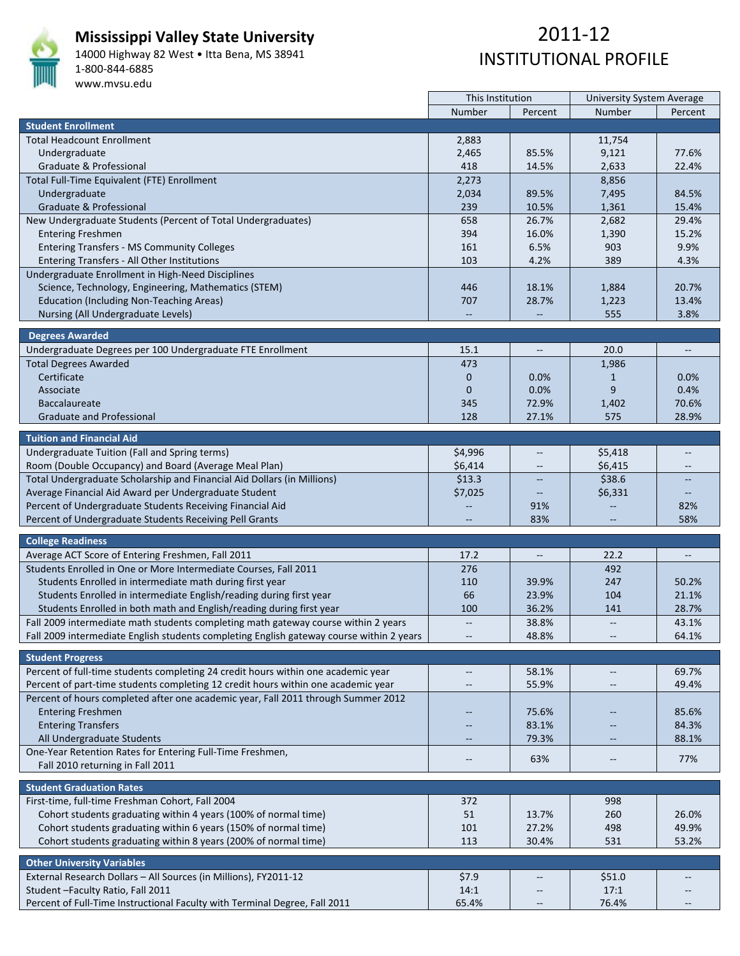

### **Mississippi Valley State University**

14000 Highway 82 West • Itta Bena, MS 38941 1‐800‐844‐6885 www.mvsu.edu

|                                                                                          | This Institution         |                          | <b>University System Average</b> |                          |
|------------------------------------------------------------------------------------------|--------------------------|--------------------------|----------------------------------|--------------------------|
|                                                                                          | Number                   | Percent                  | Number                           | Percent                  |
| <b>Student Enrollment</b>                                                                |                          |                          |                                  |                          |
| <b>Total Headcount Enrollment</b>                                                        | 2,883                    |                          | 11,754                           |                          |
| Undergraduate                                                                            | 2,465                    | 85.5%                    | 9,121                            | 77.6%                    |
| Graduate & Professional                                                                  | 418                      | 14.5%                    | 2,633                            | 22.4%                    |
| Total Full-Time Equivalent (FTE) Enrollment                                              | 2,273                    |                          | 8,856                            |                          |
| Undergraduate                                                                            | 2,034                    | 89.5%                    | 7,495                            | 84.5%                    |
| Graduate & Professional                                                                  | 239                      | 10.5%                    | 1,361                            | 15.4%                    |
| New Undergraduate Students (Percent of Total Undergraduates)                             | 658                      | 26.7%                    | 2,682                            | 29.4%                    |
| <b>Entering Freshmen</b>                                                                 | 394                      | 16.0%                    | 1,390                            | 15.2%                    |
| <b>Entering Transfers - MS Community Colleges</b>                                        | 161                      | 6.5%                     | 903                              | 9.9%                     |
| Entering Transfers - All Other Institutions                                              | 103                      | 4.2%                     | 389                              | 4.3%                     |
|                                                                                          |                          |                          |                                  |                          |
| Undergraduate Enrollment in High-Need Disciplines                                        |                          |                          |                                  | 20.7%                    |
| Science, Technology, Engineering, Mathematics (STEM)                                     | 446                      | 18.1%                    | 1,884                            |                          |
| <b>Education (Including Non-Teaching Areas)</b>                                          | 707                      | 28.7%                    | 1,223                            | 13.4%                    |
| Nursing (All Undergraduate Levels)                                                       |                          |                          | 555                              | 3.8%                     |
| <b>Degrees Awarded</b>                                                                   |                          |                          |                                  |                          |
| Undergraduate Degrees per 100 Undergraduate FTE Enrollment                               | 15.1                     | $\overline{\phantom{a}}$ | 20.0                             | $\overline{\phantom{a}}$ |
| <b>Total Degrees Awarded</b>                                                             | 473                      |                          | 1,986                            |                          |
| Certificate                                                                              | $\mathbf 0$              |                          |                                  | 0.0%                     |
|                                                                                          |                          | $0.0\%$<br>0.0%          | $\mathbf{1}$<br>9                | 0.4%                     |
| Associate                                                                                | $\mathbf{0}$             |                          |                                  |                          |
| <b>Baccalaureate</b>                                                                     | 345                      | 72.9%                    | 1,402                            | 70.6%                    |
| <b>Graduate and Professional</b>                                                         | 128                      | 27.1%                    | 575                              | 28.9%                    |
| <b>Tuition and Financial Aid</b>                                                         |                          |                          |                                  |                          |
| Undergraduate Tuition (Fall and Spring terms)                                            | \$4,996                  | $\qquad \qquad -$        | \$5,418                          |                          |
| Room (Double Occupancy) and Board (Average Meal Plan)                                    | \$6,414                  |                          | \$6,415                          |                          |
| Total Undergraduate Scholarship and Financial Aid Dollars (in Millions)                  | \$13.3                   |                          | \$38.6                           |                          |
|                                                                                          |                          |                          |                                  |                          |
| Average Financial Aid Award per Undergraduate Student                                    | \$7,025                  | $\qquad \qquad -$        | \$6,331                          |                          |
| Percent of Undergraduate Students Receiving Financial Aid                                |                          | 91%                      |                                  | 82%<br>58%               |
| Percent of Undergraduate Students Receiving Pell Grants                                  |                          | 83%                      |                                  |                          |
| <b>College Readiness</b>                                                                 |                          |                          |                                  |                          |
| Average ACT Score of Entering Freshmen, Fall 2011                                        | 17.2                     | $\overline{\phantom{a}}$ | 22.2                             | $\overline{\phantom{a}}$ |
| Students Enrolled in One or More Intermediate Courses, Fall 2011                         | 276                      |                          | 492                              |                          |
| Students Enrolled in intermediate math during first year                                 | 110                      | 39.9%                    | 247                              | 50.2%                    |
| Students Enrolled in intermediate English/reading during first year                      | 66                       | 23.9%                    | 104                              | 21.1%                    |
| Students Enrolled in both math and English/reading during first year                     | 100                      | 36.2%                    | 141                              | 28.7%                    |
| Fall 2009 intermediate math students completing math gateway course within 2 years       | $\overline{\phantom{m}}$ | 38.8%                    |                                  | 43.1%                    |
| Fall 2009 intermediate English students completing English gateway course within 2 years |                          | 48.8%                    |                                  | 64.1%                    |
|                                                                                          |                          |                          |                                  |                          |
| <b>Student Progress</b>                                                                  |                          |                          |                                  |                          |
| Percent of full-time students completing 24 credit hours within one academic year        | $\overline{\phantom{m}}$ | 58.1%                    | $\overline{\phantom{m}}$         | 69.7%                    |
| Percent of part-time students completing 12 credit hours within one academic year        | $\overline{\phantom{m}}$ | 55.9%                    | $\overline{\phantom{m}}$         | 49.4%                    |
| Percent of hours completed after one academic year, Fall 2011 through Summer 2012        |                          |                          |                                  |                          |
| <b>Entering Freshmen</b>                                                                 |                          | 75.6%                    |                                  | 85.6%                    |
| <b>Entering Transfers</b>                                                                |                          | 83.1%                    |                                  | 84.3%                    |
| All Undergraduate Students                                                               | $\qquad \qquad -$        | 79.3%                    | $\qquad \qquad -$                | 88.1%                    |
| One-Year Retention Rates for Entering Full-Time Freshmen,                                |                          |                          |                                  |                          |
|                                                                                          | $\qquad \qquad -$        | 63%                      | $-\!$                            | 77%                      |
| Fall 2010 returning in Fall 2011                                                         |                          |                          |                                  |                          |
| <b>Student Graduation Rates</b>                                                          |                          |                          |                                  |                          |
| First-time, full-time Freshman Cohort, Fall 2004                                         | 372                      |                          | 998                              |                          |
| Cohort students graduating within 4 years (100% of normal time)                          | 51                       | 13.7%                    | 260                              | 26.0%                    |
| Cohort students graduating within 6 years (150% of normal time)                          | 101                      | 27.2%                    | 498                              | 49.9%                    |
| Cohort students graduating within 8 years (200% of normal time)                          | 113                      | 30.4%                    | 531                              | 53.2%                    |
|                                                                                          |                          |                          |                                  |                          |
| <b>Other University Variables</b>                                                        |                          |                          |                                  |                          |
| External Research Dollars - All Sources (in Millions), FY2011-12                         | \$7.9                    |                          | \$51.0                           |                          |
| Student - Faculty Ratio, Fall 2011                                                       | 14:1                     |                          | 17:1                             |                          |
| Percent of Full-Time Instructional Faculty with Terminal Degree, Fall 2011               | 65.4%                    |                          | 76.4%                            |                          |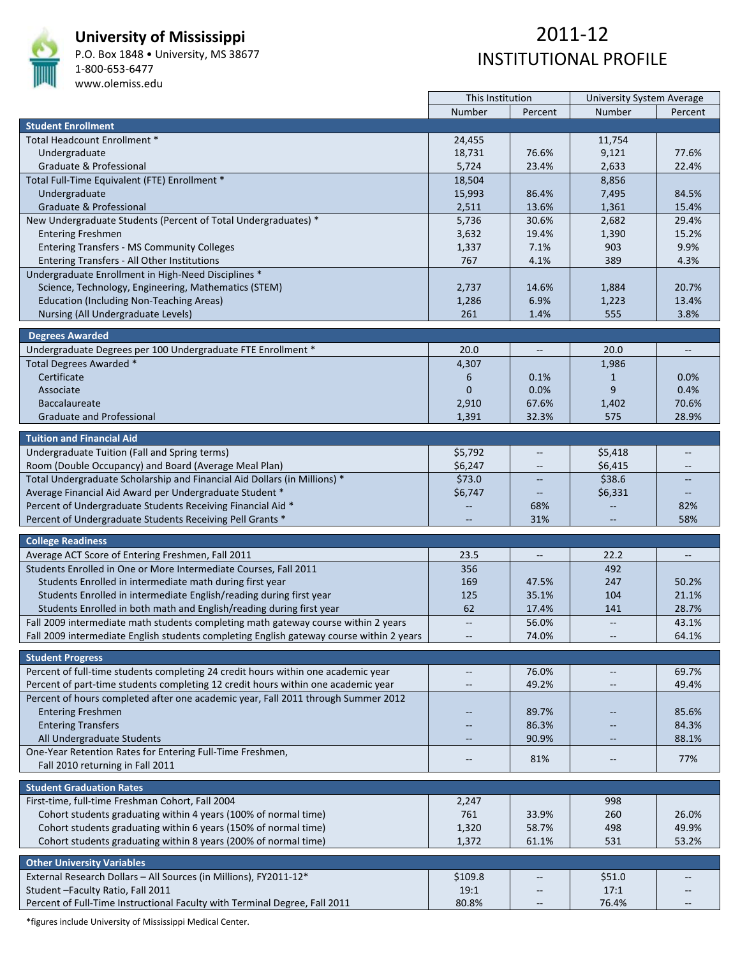

### **University of Mississippi**

P.O. Box 1848 • University, MS 38677 1‐800‐653‐6477

www.olemiss.edu

### 2011‐12 INSTITUTIONAL PROFILE

|                                                                                          | This Institution         |                          | <b>University System Average</b> |                                   |
|------------------------------------------------------------------------------------------|--------------------------|--------------------------|----------------------------------|-----------------------------------|
|                                                                                          | Number                   | Percent                  | Number                           | Percent                           |
| <b>Student Enrollment</b>                                                                |                          |                          |                                  |                                   |
| Total Headcount Enrollment *                                                             | 24,455                   |                          | 11,754                           |                                   |
| Undergraduate                                                                            | 18,731                   | 76.6%                    | 9,121                            | 77.6%                             |
| Graduate & Professional                                                                  | 5,724                    | 23.4%                    | 2,633                            | 22.4%                             |
| Total Full-Time Equivalent (FTE) Enrollment *                                            | 18,504                   |                          | 8,856                            |                                   |
| Undergraduate                                                                            | 15,993                   | 86.4%                    | 7,495                            | 84.5%                             |
| Graduate & Professional                                                                  | 2,511                    | 13.6%                    | 1,361                            | 15.4%                             |
| New Undergraduate Students (Percent of Total Undergraduates) *                           | 5,736                    | 30.6%                    | 2,682                            | 29.4%                             |
| <b>Entering Freshmen</b>                                                                 | 3,632                    | 19.4%                    | 1,390                            | 15.2%                             |
| <b>Entering Transfers - MS Community Colleges</b>                                        | 1,337                    | 7.1%                     | 903                              | 9.9%                              |
| Entering Transfers - All Other Institutions                                              | 767                      | 4.1%                     | 389                              | 4.3%                              |
| Undergraduate Enrollment in High-Need Disciplines *                                      |                          |                          |                                  |                                   |
| Science, Technology, Engineering, Mathematics (STEM)                                     | 2,737                    | 14.6%                    | 1,884                            | 20.7%                             |
| <b>Education (Including Non-Teaching Areas)</b>                                          | 1,286                    | 6.9%                     | 1,223                            | 13.4%                             |
| Nursing (All Undergraduate Levels)                                                       | 261                      | 1.4%                     | 555                              | 3.8%                              |
|                                                                                          |                          |                          |                                  |                                   |
| <b>Degrees Awarded</b>                                                                   |                          |                          |                                  |                                   |
| Undergraduate Degrees per 100 Undergraduate FTE Enrollment *                             | 20.0                     | $\overline{\phantom{a}}$ | 20.0                             | $\hspace{0.05cm} \dashrightarrow$ |
| Total Degrees Awarded *                                                                  | 4,307                    |                          | 1,986                            |                                   |
| Certificate                                                                              | 6                        | 0.1%                     | $\mathbf{1}$                     | 0.0%                              |
| Associate                                                                                | $\mathbf{0}$             | 0.0%                     | 9                                | 0.4%                              |
| <b>Baccalaureate</b>                                                                     | 2,910                    | 67.6%                    | 1,402                            | 70.6%                             |
| <b>Graduate and Professional</b>                                                         | 1,391                    | 32.3%                    | 575                              | 28.9%                             |
| <b>Tuition and Financial Aid</b>                                                         |                          |                          |                                  |                                   |
| Undergraduate Tuition (Fall and Spring terms)                                            | \$5,792                  |                          | \$5,418                          | --                                |
| Room (Double Occupancy) and Board (Average Meal Plan)                                    | \$6,247                  |                          | \$6,415                          |                                   |
| Total Undergraduate Scholarship and Financial Aid Dollars (in Millions) *                | \$73.0                   |                          | \$38.6                           |                                   |
| Average Financial Aid Award per Undergraduate Student *                                  | \$6,747                  | $\qquad \qquad -$        | \$6,331                          | $\qquad \qquad -$                 |
| Percent of Undergraduate Students Receiving Financial Aid *                              |                          | 68%                      |                                  | 82%                               |
| Percent of Undergraduate Students Receiving Pell Grants *                                |                          | 31%                      |                                  | 58%                               |
|                                                                                          |                          |                          |                                  |                                   |
| <b>College Readiness</b>                                                                 |                          |                          |                                  |                                   |
| Average ACT Score of Entering Freshmen, Fall 2011                                        | 23.5                     | $\overline{\phantom{a}}$ | 22.2                             | $\overline{\phantom{a}}$          |
| Students Enrolled in One or More Intermediate Courses, Fall 2011                         | 356                      |                          | 492                              |                                   |
| Students Enrolled in intermediate math during first year                                 | 169                      | 47.5%                    | 247                              | 50.2%                             |
| Students Enrolled in intermediate English/reading during first year                      | 125                      | 35.1%                    | 104                              | 21.1%                             |
| Students Enrolled in both math and English/reading during first year                     | 62                       | 17.4%                    | 141                              | 28.7%                             |
| Fall 2009 intermediate math students completing math gateway course within 2 years       | $\overline{\phantom{m}}$ | 56.0%                    | $\overline{\phantom{a}}$         | 43.1%                             |
| Fall 2009 intermediate English students completing English gateway course within 2 years |                          | 74.0%                    |                                  | 64.1%                             |
|                                                                                          |                          |                          |                                  |                                   |
| <b>Student Progress</b>                                                                  |                          |                          |                                  |                                   |
| Percent of full-time students completing 24 credit hours within one academic year        | $\overline{\phantom{a}}$ | 76.0%                    | $\overline{\phantom{a}}$         | 69.7%                             |
| Percent of part-time students completing 12 credit hours within one academic year        | $\overline{\phantom{m}}$ | 49.2%                    | $\qquad \qquad -$                | 49.4%                             |
| Percent of hours completed after one academic year, Fall 2011 through Summer 2012        |                          |                          |                                  |                                   |
| <b>Entering Freshmen</b>                                                                 |                          | 89.7%                    |                                  | 85.6%                             |
| <b>Entering Transfers</b>                                                                |                          | 86.3%                    |                                  | 84.3%                             |
| All Undergraduate Students                                                               | $\overline{\phantom{m}}$ | 90.9%                    |                                  | 88.1%                             |
| One-Year Retention Rates for Entering Full-Time Freshmen,                                | $\overline{\phantom{m}}$ | 81%                      | $\qquad \qquad -$                | 77%                               |
| Fall 2010 returning in Fall 2011                                                         |                          |                          |                                  |                                   |
| <b>Student Graduation Rates</b>                                                          |                          |                          |                                  |                                   |
| First-time, full-time Freshman Cohort, Fall 2004                                         | 2,247                    |                          | 998                              |                                   |
| Cohort students graduating within 4 years (100% of normal time)                          | 761                      | 33.9%                    | 260                              | 26.0%                             |
| Cohort students graduating within 6 years (150% of normal time)                          | 1,320                    | 58.7%                    | 498                              | 49.9%                             |
| Cohort students graduating within 8 years (200% of normal time)                          | 1,372                    | 61.1%                    | 531                              | 53.2%                             |
|                                                                                          |                          |                          |                                  |                                   |
| <b>Other University Variables</b>                                                        |                          |                          |                                  |                                   |
| External Research Dollars - All Sources (in Millions), FY2011-12*                        | \$109.8                  |                          | \$51.0                           |                                   |
| Student-Faculty Ratio, Fall 2011                                                         | 19:1                     |                          | 17:1                             |                                   |
| Percent of Full-Time Instructional Faculty with Terminal Degree, Fall 2011               | 80.8%                    |                          | 76.4%                            |                                   |

\*figures include University of Mississippi Medical Center.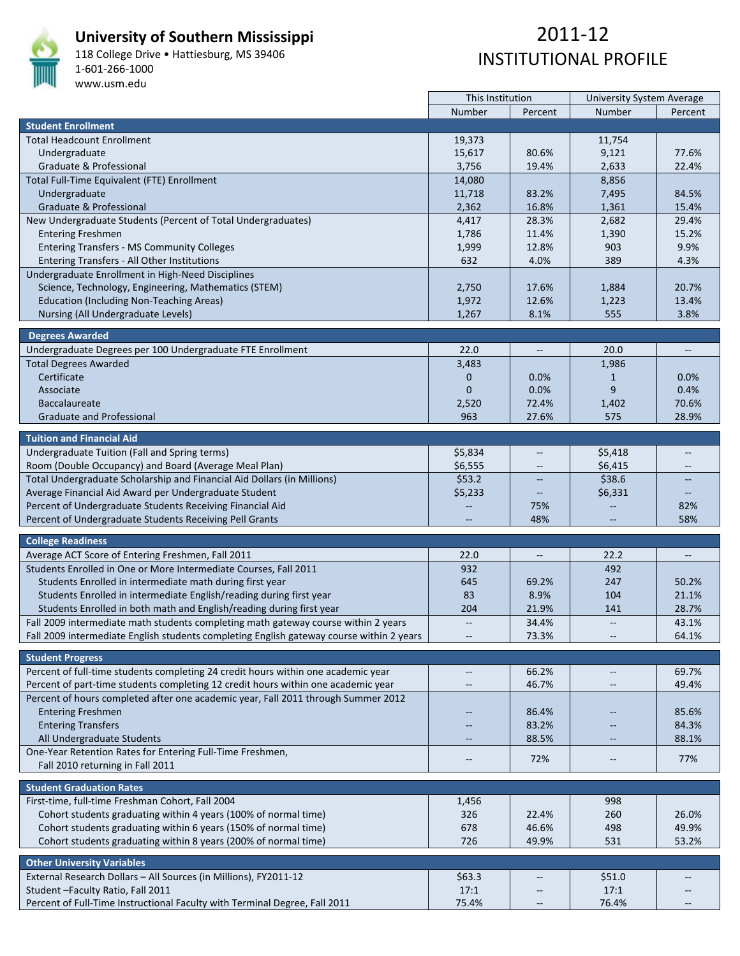

**University of Southern Mississippi**

118 College Drive • Hattiesburg, MS 39406 1‐601‐266‐1000 www.usm.edu

| Number<br><b>Number</b><br>Percent<br>Percent<br><b>Student Enrollment</b><br><b>Total Headcount Enrollment</b><br>19,373<br>11,754<br>Undergraduate<br>15,617<br>80.6%<br>9,121<br>77.6%<br>3,756<br>Graduate & Professional<br>19.4%<br>2,633<br>22.4%<br>Total Full-Time Equivalent (FTE) Enrollment<br>14,080<br>8,856<br>Undergraduate<br>11,718<br>7,495<br>84.5%<br>83.2%<br>Graduate & Professional<br>2,362<br>16.8%<br>1,361<br>15.4%<br>New Undergraduate Students (Percent of Total Undergraduates)<br>4,417<br>28.3%<br>2,682<br>29.4%<br>15.2%<br><b>Entering Freshmen</b><br>1,786<br>11.4%<br>1,390<br><b>Entering Transfers - MS Community Colleges</b><br>12.8%<br>903<br>9.9%<br>1,999<br>632<br>4.0%<br>389<br>4.3%<br>Entering Transfers - All Other Institutions<br>Undergraduate Enrollment in High-Need Disciplines<br>20.7%<br>Science, Technology, Engineering, Mathematics (STEM)<br>17.6%<br>2,750<br>1,884<br><b>Education (Including Non-Teaching Areas)</b><br>1,972<br>13.4%<br>12.6%<br>1,223<br>3.8%<br>Nursing (All Undergraduate Levels)<br>1,267<br>8.1%<br>555<br><b>Degrees Awarded</b><br>Undergraduate Degrees per 100 Undergraduate FTE Enrollment<br>22.0<br>20.0<br>$\qquad \qquad -$<br>$\overline{\phantom{a}}$<br><b>Total Degrees Awarded</b><br>3,483<br>1,986<br>Certificate<br>$\mathbf 0$<br>0.0%<br>$0.0\%$<br>$\mathbf{1}$<br>9<br>$\overline{0}$<br>0.0%<br>0.4%<br>Associate<br>70.6%<br><b>Baccalaureate</b><br>72.4%<br>1,402<br>2,520<br>28.9%<br><b>Graduate and Professional</b><br>963<br>27.6%<br>575<br><b>Tuition and Financial Aid</b><br>Undergraduate Tuition (Fall and Spring terms)<br>\$5,834<br>\$5,418<br>$\overline{\phantom{a}}$<br>\$6,555<br>\$6,415<br>Room (Double Occupancy) and Board (Average Meal Plan)<br>\$38.6<br>Total Undergraduate Scholarship and Financial Aid Dollars (in Millions)<br>\$53.2<br>Average Financial Aid Award per Undergraduate Student<br>\$5,233<br>\$6,331<br>$\overline{\phantom{a}}$<br>Percent of Undergraduate Students Receiving Financial Aid<br>75%<br>82%<br>58%<br>Percent of Undergraduate Students Receiving Pell Grants<br>48%<br><b>College Readiness</b><br>Average ACT Score of Entering Freshmen, Fall 2011<br>22.0<br>22.2<br>$\overline{\phantom{a}}$<br>$\overline{\phantom{a}}$<br>Students Enrolled in One or More Intermediate Courses, Fall 2011<br>932<br>492<br>Students Enrolled in intermediate math during first year<br>645<br>69.2%<br>247<br>50.2%<br>Students Enrolled in intermediate English/reading during first year<br>83<br>8.9%<br>104<br>21.1%<br>Students Enrolled in both math and English/reading during first year<br>21.9%<br>28.7%<br>204<br>141<br>Fall 2009 intermediate math students completing math gateway course within 2 years<br>34.4%<br>43.1%<br><br>$\overline{\phantom{m}}$<br>73.3%<br>Fall 2009 intermediate English students completing English gateway course within 2 years<br>64.1%<br><b>Student Progress</b><br>Percent of full-time students completing 24 credit hours within one academic year<br>66.2%<br>69.7%<br>$\overline{\phantom{m}}$<br>$\overline{\phantom{m}}$<br>Percent of part-time students completing 12 credit hours within one academic year<br>46.7%<br>49.4%<br>$\overline{\phantom{m}}$<br>$\overline{\phantom{m}}$<br>Percent of hours completed after one academic year, Fall 2011 through Summer 2012<br><b>Entering Freshmen</b><br>85.6%<br>86.4%<br><b>Entering Transfers</b><br>84.3%<br>83.2%<br>88.1%<br>All Undergraduate Students<br>88.5%<br>$\qquad \qquad -$<br>$\qquad \qquad -$<br>One-Year Retention Rates for Entering Full-Time Freshmen,<br>72%<br>77%<br>$-\!$<br>$\overline{\phantom{m}}$<br>Fall 2010 returning in Fall 2011<br><b>Student Graduation Rates</b><br>First-time, full-time Freshman Cohort, Fall 2004<br>998<br>1,456<br>Cohort students graduating within 4 years (100% of normal time)<br>326<br>260<br>26.0%<br>22.4%<br>Cohort students graduating within 6 years (150% of normal time)<br>49.9%<br>678<br>46.6%<br>498<br>726<br>53.2%<br>Cohort students graduating within 8 years (200% of normal time)<br>49.9%<br>531<br><b>Other University Variables</b><br>External Research Dollars - All Sources (in Millions), FY2011-12<br>\$63.3<br>\$51.0 | Student-Faculty Ratio, Fall 2011<br>17:1<br>17:1                                             | This Institution | <b>University System Average</b> |  |
|----------------------------------------------------------------------------------------------------------------------------------------------------------------------------------------------------------------------------------------------------------------------------------------------------------------------------------------------------------------------------------------------------------------------------------------------------------------------------------------------------------------------------------------------------------------------------------------------------------------------------------------------------------------------------------------------------------------------------------------------------------------------------------------------------------------------------------------------------------------------------------------------------------------------------------------------------------------------------------------------------------------------------------------------------------------------------------------------------------------------------------------------------------------------------------------------------------------------------------------------------------------------------------------------------------------------------------------------------------------------------------------------------------------------------------------------------------------------------------------------------------------------------------------------------------------------------------------------------------------------------------------------------------------------------------------------------------------------------------------------------------------------------------------------------------------------------------------------------------------------------------------------------------------------------------------------------------------------------------------------------------------------------------------------------------------------------------------------------------------------------------------------------------------------------------------------------------------------------------------------------------------------------------------------------------------------------------------------------------------------------------------------------------------------------------------------------------------------------------------------------------------------------------------------------------------------------------------------------------------------------------------------------------------------------------------------------------------------------------------------------------------------------------------------------------------------------------------------------------------------------------------------------------------------------------------------------------------------------------------------------------------------------------------------------------------------------------------------------------------------------------------------------------------------------------------------------------------------------------------------------------------------------------------------------------------------------------------------------------------------------------------------------------------------------------------------------------------------------------------------------------------------------------------------------------------------------------------------------------------------------------------------------------------------------------------------------------------------------------------------------------------------------------------------------------------------------------------------------------------------------------------------------------------------------------------------------------------------------------------------------------------------------------------------------------------------------------------------------------------------------------------------------------------------------------------------------------------------------------------------------------------------------------------------------------|----------------------------------------------------------------------------------------------|------------------|----------------------------------|--|
|                                                                                                                                                                                                                                                                                                                                                                                                                                                                                                                                                                                                                                                                                                                                                                                                                                                                                                                                                                                                                                                                                                                                                                                                                                                                                                                                                                                                                                                                                                                                                                                                                                                                                                                                                                                                                                                                                                                                                                                                                                                                                                                                                                                                                                                                                                                                                                                                                                                                                                                                                                                                                                                                                                                                                                                                                                                                                                                                                                                                                                                                                                                                                                                                                                                                                                                                                                                                                                                                                                                                                                                                                                                                                                                                                                                                                                                                                                                                                                                                                                                                                                                                                                                                                                                                                                          |                                                                                              |                  |                                  |  |
|                                                                                                                                                                                                                                                                                                                                                                                                                                                                                                                                                                                                                                                                                                                                                                                                                                                                                                                                                                                                                                                                                                                                                                                                                                                                                                                                                                                                                                                                                                                                                                                                                                                                                                                                                                                                                                                                                                                                                                                                                                                                                                                                                                                                                                                                                                                                                                                                                                                                                                                                                                                                                                                                                                                                                                                                                                                                                                                                                                                                                                                                                                                                                                                                                                                                                                                                                                                                                                                                                                                                                                                                                                                                                                                                                                                                                                                                                                                                                                                                                                                                                                                                                                                                                                                                                                          |                                                                                              |                  |                                  |  |
|                                                                                                                                                                                                                                                                                                                                                                                                                                                                                                                                                                                                                                                                                                                                                                                                                                                                                                                                                                                                                                                                                                                                                                                                                                                                                                                                                                                                                                                                                                                                                                                                                                                                                                                                                                                                                                                                                                                                                                                                                                                                                                                                                                                                                                                                                                                                                                                                                                                                                                                                                                                                                                                                                                                                                                                                                                                                                                                                                                                                                                                                                                                                                                                                                                                                                                                                                                                                                                                                                                                                                                                                                                                                                                                                                                                                                                                                                                                                                                                                                                                                                                                                                                                                                                                                                                          |                                                                                              |                  |                                  |  |
|                                                                                                                                                                                                                                                                                                                                                                                                                                                                                                                                                                                                                                                                                                                                                                                                                                                                                                                                                                                                                                                                                                                                                                                                                                                                                                                                                                                                                                                                                                                                                                                                                                                                                                                                                                                                                                                                                                                                                                                                                                                                                                                                                                                                                                                                                                                                                                                                                                                                                                                                                                                                                                                                                                                                                                                                                                                                                                                                                                                                                                                                                                                                                                                                                                                                                                                                                                                                                                                                                                                                                                                                                                                                                                                                                                                                                                                                                                                                                                                                                                                                                                                                                                                                                                                                                                          |                                                                                              |                  |                                  |  |
|                                                                                                                                                                                                                                                                                                                                                                                                                                                                                                                                                                                                                                                                                                                                                                                                                                                                                                                                                                                                                                                                                                                                                                                                                                                                                                                                                                                                                                                                                                                                                                                                                                                                                                                                                                                                                                                                                                                                                                                                                                                                                                                                                                                                                                                                                                                                                                                                                                                                                                                                                                                                                                                                                                                                                                                                                                                                                                                                                                                                                                                                                                                                                                                                                                                                                                                                                                                                                                                                                                                                                                                                                                                                                                                                                                                                                                                                                                                                                                                                                                                                                                                                                                                                                                                                                                          |                                                                                              |                  |                                  |  |
|                                                                                                                                                                                                                                                                                                                                                                                                                                                                                                                                                                                                                                                                                                                                                                                                                                                                                                                                                                                                                                                                                                                                                                                                                                                                                                                                                                                                                                                                                                                                                                                                                                                                                                                                                                                                                                                                                                                                                                                                                                                                                                                                                                                                                                                                                                                                                                                                                                                                                                                                                                                                                                                                                                                                                                                                                                                                                                                                                                                                                                                                                                                                                                                                                                                                                                                                                                                                                                                                                                                                                                                                                                                                                                                                                                                                                                                                                                                                                                                                                                                                                                                                                                                                                                                                                                          |                                                                                              |                  |                                  |  |
|                                                                                                                                                                                                                                                                                                                                                                                                                                                                                                                                                                                                                                                                                                                                                                                                                                                                                                                                                                                                                                                                                                                                                                                                                                                                                                                                                                                                                                                                                                                                                                                                                                                                                                                                                                                                                                                                                                                                                                                                                                                                                                                                                                                                                                                                                                                                                                                                                                                                                                                                                                                                                                                                                                                                                                                                                                                                                                                                                                                                                                                                                                                                                                                                                                                                                                                                                                                                                                                                                                                                                                                                                                                                                                                                                                                                                                                                                                                                                                                                                                                                                                                                                                                                                                                                                                          |                                                                                              |                  |                                  |  |
|                                                                                                                                                                                                                                                                                                                                                                                                                                                                                                                                                                                                                                                                                                                                                                                                                                                                                                                                                                                                                                                                                                                                                                                                                                                                                                                                                                                                                                                                                                                                                                                                                                                                                                                                                                                                                                                                                                                                                                                                                                                                                                                                                                                                                                                                                                                                                                                                                                                                                                                                                                                                                                                                                                                                                                                                                                                                                                                                                                                                                                                                                                                                                                                                                                                                                                                                                                                                                                                                                                                                                                                                                                                                                                                                                                                                                                                                                                                                                                                                                                                                                                                                                                                                                                                                                                          |                                                                                              |                  |                                  |  |
|                                                                                                                                                                                                                                                                                                                                                                                                                                                                                                                                                                                                                                                                                                                                                                                                                                                                                                                                                                                                                                                                                                                                                                                                                                                                                                                                                                                                                                                                                                                                                                                                                                                                                                                                                                                                                                                                                                                                                                                                                                                                                                                                                                                                                                                                                                                                                                                                                                                                                                                                                                                                                                                                                                                                                                                                                                                                                                                                                                                                                                                                                                                                                                                                                                                                                                                                                                                                                                                                                                                                                                                                                                                                                                                                                                                                                                                                                                                                                                                                                                                                                                                                                                                                                                                                                                          |                                                                                              |                  |                                  |  |
|                                                                                                                                                                                                                                                                                                                                                                                                                                                                                                                                                                                                                                                                                                                                                                                                                                                                                                                                                                                                                                                                                                                                                                                                                                                                                                                                                                                                                                                                                                                                                                                                                                                                                                                                                                                                                                                                                                                                                                                                                                                                                                                                                                                                                                                                                                                                                                                                                                                                                                                                                                                                                                                                                                                                                                                                                                                                                                                                                                                                                                                                                                                                                                                                                                                                                                                                                                                                                                                                                                                                                                                                                                                                                                                                                                                                                                                                                                                                                                                                                                                                                                                                                                                                                                                                                                          |                                                                                              |                  |                                  |  |
|                                                                                                                                                                                                                                                                                                                                                                                                                                                                                                                                                                                                                                                                                                                                                                                                                                                                                                                                                                                                                                                                                                                                                                                                                                                                                                                                                                                                                                                                                                                                                                                                                                                                                                                                                                                                                                                                                                                                                                                                                                                                                                                                                                                                                                                                                                                                                                                                                                                                                                                                                                                                                                                                                                                                                                                                                                                                                                                                                                                                                                                                                                                                                                                                                                                                                                                                                                                                                                                                                                                                                                                                                                                                                                                                                                                                                                                                                                                                                                                                                                                                                                                                                                                                                                                                                                          |                                                                                              |                  |                                  |  |
|                                                                                                                                                                                                                                                                                                                                                                                                                                                                                                                                                                                                                                                                                                                                                                                                                                                                                                                                                                                                                                                                                                                                                                                                                                                                                                                                                                                                                                                                                                                                                                                                                                                                                                                                                                                                                                                                                                                                                                                                                                                                                                                                                                                                                                                                                                                                                                                                                                                                                                                                                                                                                                                                                                                                                                                                                                                                                                                                                                                                                                                                                                                                                                                                                                                                                                                                                                                                                                                                                                                                                                                                                                                                                                                                                                                                                                                                                                                                                                                                                                                                                                                                                                                                                                                                                                          |                                                                                              |                  |                                  |  |
|                                                                                                                                                                                                                                                                                                                                                                                                                                                                                                                                                                                                                                                                                                                                                                                                                                                                                                                                                                                                                                                                                                                                                                                                                                                                                                                                                                                                                                                                                                                                                                                                                                                                                                                                                                                                                                                                                                                                                                                                                                                                                                                                                                                                                                                                                                                                                                                                                                                                                                                                                                                                                                                                                                                                                                                                                                                                                                                                                                                                                                                                                                                                                                                                                                                                                                                                                                                                                                                                                                                                                                                                                                                                                                                                                                                                                                                                                                                                                                                                                                                                                                                                                                                                                                                                                                          |                                                                                              |                  |                                  |  |
|                                                                                                                                                                                                                                                                                                                                                                                                                                                                                                                                                                                                                                                                                                                                                                                                                                                                                                                                                                                                                                                                                                                                                                                                                                                                                                                                                                                                                                                                                                                                                                                                                                                                                                                                                                                                                                                                                                                                                                                                                                                                                                                                                                                                                                                                                                                                                                                                                                                                                                                                                                                                                                                                                                                                                                                                                                                                                                                                                                                                                                                                                                                                                                                                                                                                                                                                                                                                                                                                                                                                                                                                                                                                                                                                                                                                                                                                                                                                                                                                                                                                                                                                                                                                                                                                                                          |                                                                                              |                  |                                  |  |
|                                                                                                                                                                                                                                                                                                                                                                                                                                                                                                                                                                                                                                                                                                                                                                                                                                                                                                                                                                                                                                                                                                                                                                                                                                                                                                                                                                                                                                                                                                                                                                                                                                                                                                                                                                                                                                                                                                                                                                                                                                                                                                                                                                                                                                                                                                                                                                                                                                                                                                                                                                                                                                                                                                                                                                                                                                                                                                                                                                                                                                                                                                                                                                                                                                                                                                                                                                                                                                                                                                                                                                                                                                                                                                                                                                                                                                                                                                                                                                                                                                                                                                                                                                                                                                                                                                          |                                                                                              |                  |                                  |  |
|                                                                                                                                                                                                                                                                                                                                                                                                                                                                                                                                                                                                                                                                                                                                                                                                                                                                                                                                                                                                                                                                                                                                                                                                                                                                                                                                                                                                                                                                                                                                                                                                                                                                                                                                                                                                                                                                                                                                                                                                                                                                                                                                                                                                                                                                                                                                                                                                                                                                                                                                                                                                                                                                                                                                                                                                                                                                                                                                                                                                                                                                                                                                                                                                                                                                                                                                                                                                                                                                                                                                                                                                                                                                                                                                                                                                                                                                                                                                                                                                                                                                                                                                                                                                                                                                                                          |                                                                                              |                  |                                  |  |
|                                                                                                                                                                                                                                                                                                                                                                                                                                                                                                                                                                                                                                                                                                                                                                                                                                                                                                                                                                                                                                                                                                                                                                                                                                                                                                                                                                                                                                                                                                                                                                                                                                                                                                                                                                                                                                                                                                                                                                                                                                                                                                                                                                                                                                                                                                                                                                                                                                                                                                                                                                                                                                                                                                                                                                                                                                                                                                                                                                                                                                                                                                                                                                                                                                                                                                                                                                                                                                                                                                                                                                                                                                                                                                                                                                                                                                                                                                                                                                                                                                                                                                                                                                                                                                                                                                          |                                                                                              |                  |                                  |  |
|                                                                                                                                                                                                                                                                                                                                                                                                                                                                                                                                                                                                                                                                                                                                                                                                                                                                                                                                                                                                                                                                                                                                                                                                                                                                                                                                                                                                                                                                                                                                                                                                                                                                                                                                                                                                                                                                                                                                                                                                                                                                                                                                                                                                                                                                                                                                                                                                                                                                                                                                                                                                                                                                                                                                                                                                                                                                                                                                                                                                                                                                                                                                                                                                                                                                                                                                                                                                                                                                                                                                                                                                                                                                                                                                                                                                                                                                                                                                                                                                                                                                                                                                                                                                                                                                                                          |                                                                                              |                  |                                  |  |
|                                                                                                                                                                                                                                                                                                                                                                                                                                                                                                                                                                                                                                                                                                                                                                                                                                                                                                                                                                                                                                                                                                                                                                                                                                                                                                                                                                                                                                                                                                                                                                                                                                                                                                                                                                                                                                                                                                                                                                                                                                                                                                                                                                                                                                                                                                                                                                                                                                                                                                                                                                                                                                                                                                                                                                                                                                                                                                                                                                                                                                                                                                                                                                                                                                                                                                                                                                                                                                                                                                                                                                                                                                                                                                                                                                                                                                                                                                                                                                                                                                                                                                                                                                                                                                                                                                          |                                                                                              |                  |                                  |  |
|                                                                                                                                                                                                                                                                                                                                                                                                                                                                                                                                                                                                                                                                                                                                                                                                                                                                                                                                                                                                                                                                                                                                                                                                                                                                                                                                                                                                                                                                                                                                                                                                                                                                                                                                                                                                                                                                                                                                                                                                                                                                                                                                                                                                                                                                                                                                                                                                                                                                                                                                                                                                                                                                                                                                                                                                                                                                                                                                                                                                                                                                                                                                                                                                                                                                                                                                                                                                                                                                                                                                                                                                                                                                                                                                                                                                                                                                                                                                                                                                                                                                                                                                                                                                                                                                                                          |                                                                                              |                  |                                  |  |
|                                                                                                                                                                                                                                                                                                                                                                                                                                                                                                                                                                                                                                                                                                                                                                                                                                                                                                                                                                                                                                                                                                                                                                                                                                                                                                                                                                                                                                                                                                                                                                                                                                                                                                                                                                                                                                                                                                                                                                                                                                                                                                                                                                                                                                                                                                                                                                                                                                                                                                                                                                                                                                                                                                                                                                                                                                                                                                                                                                                                                                                                                                                                                                                                                                                                                                                                                                                                                                                                                                                                                                                                                                                                                                                                                                                                                                                                                                                                                                                                                                                                                                                                                                                                                                                                                                          |                                                                                              |                  |                                  |  |
|                                                                                                                                                                                                                                                                                                                                                                                                                                                                                                                                                                                                                                                                                                                                                                                                                                                                                                                                                                                                                                                                                                                                                                                                                                                                                                                                                                                                                                                                                                                                                                                                                                                                                                                                                                                                                                                                                                                                                                                                                                                                                                                                                                                                                                                                                                                                                                                                                                                                                                                                                                                                                                                                                                                                                                                                                                                                                                                                                                                                                                                                                                                                                                                                                                                                                                                                                                                                                                                                                                                                                                                                                                                                                                                                                                                                                                                                                                                                                                                                                                                                                                                                                                                                                                                                                                          |                                                                                              |                  |                                  |  |
|                                                                                                                                                                                                                                                                                                                                                                                                                                                                                                                                                                                                                                                                                                                                                                                                                                                                                                                                                                                                                                                                                                                                                                                                                                                                                                                                                                                                                                                                                                                                                                                                                                                                                                                                                                                                                                                                                                                                                                                                                                                                                                                                                                                                                                                                                                                                                                                                                                                                                                                                                                                                                                                                                                                                                                                                                                                                                                                                                                                                                                                                                                                                                                                                                                                                                                                                                                                                                                                                                                                                                                                                                                                                                                                                                                                                                                                                                                                                                                                                                                                                                                                                                                                                                                                                                                          |                                                                                              |                  |                                  |  |
|                                                                                                                                                                                                                                                                                                                                                                                                                                                                                                                                                                                                                                                                                                                                                                                                                                                                                                                                                                                                                                                                                                                                                                                                                                                                                                                                                                                                                                                                                                                                                                                                                                                                                                                                                                                                                                                                                                                                                                                                                                                                                                                                                                                                                                                                                                                                                                                                                                                                                                                                                                                                                                                                                                                                                                                                                                                                                                                                                                                                                                                                                                                                                                                                                                                                                                                                                                                                                                                                                                                                                                                                                                                                                                                                                                                                                                                                                                                                                                                                                                                                                                                                                                                                                                                                                                          |                                                                                              |                  |                                  |  |
|                                                                                                                                                                                                                                                                                                                                                                                                                                                                                                                                                                                                                                                                                                                                                                                                                                                                                                                                                                                                                                                                                                                                                                                                                                                                                                                                                                                                                                                                                                                                                                                                                                                                                                                                                                                                                                                                                                                                                                                                                                                                                                                                                                                                                                                                                                                                                                                                                                                                                                                                                                                                                                                                                                                                                                                                                                                                                                                                                                                                                                                                                                                                                                                                                                                                                                                                                                                                                                                                                                                                                                                                                                                                                                                                                                                                                                                                                                                                                                                                                                                                                                                                                                                                                                                                                                          |                                                                                              |                  |                                  |  |
|                                                                                                                                                                                                                                                                                                                                                                                                                                                                                                                                                                                                                                                                                                                                                                                                                                                                                                                                                                                                                                                                                                                                                                                                                                                                                                                                                                                                                                                                                                                                                                                                                                                                                                                                                                                                                                                                                                                                                                                                                                                                                                                                                                                                                                                                                                                                                                                                                                                                                                                                                                                                                                                                                                                                                                                                                                                                                                                                                                                                                                                                                                                                                                                                                                                                                                                                                                                                                                                                                                                                                                                                                                                                                                                                                                                                                                                                                                                                                                                                                                                                                                                                                                                                                                                                                                          |                                                                                              |                  |                                  |  |
|                                                                                                                                                                                                                                                                                                                                                                                                                                                                                                                                                                                                                                                                                                                                                                                                                                                                                                                                                                                                                                                                                                                                                                                                                                                                                                                                                                                                                                                                                                                                                                                                                                                                                                                                                                                                                                                                                                                                                                                                                                                                                                                                                                                                                                                                                                                                                                                                                                                                                                                                                                                                                                                                                                                                                                                                                                                                                                                                                                                                                                                                                                                                                                                                                                                                                                                                                                                                                                                                                                                                                                                                                                                                                                                                                                                                                                                                                                                                                                                                                                                                                                                                                                                                                                                                                                          |                                                                                              |                  |                                  |  |
|                                                                                                                                                                                                                                                                                                                                                                                                                                                                                                                                                                                                                                                                                                                                                                                                                                                                                                                                                                                                                                                                                                                                                                                                                                                                                                                                                                                                                                                                                                                                                                                                                                                                                                                                                                                                                                                                                                                                                                                                                                                                                                                                                                                                                                                                                                                                                                                                                                                                                                                                                                                                                                                                                                                                                                                                                                                                                                                                                                                                                                                                                                                                                                                                                                                                                                                                                                                                                                                                                                                                                                                                                                                                                                                                                                                                                                                                                                                                                                                                                                                                                                                                                                                                                                                                                                          |                                                                                              |                  |                                  |  |
|                                                                                                                                                                                                                                                                                                                                                                                                                                                                                                                                                                                                                                                                                                                                                                                                                                                                                                                                                                                                                                                                                                                                                                                                                                                                                                                                                                                                                                                                                                                                                                                                                                                                                                                                                                                                                                                                                                                                                                                                                                                                                                                                                                                                                                                                                                                                                                                                                                                                                                                                                                                                                                                                                                                                                                                                                                                                                                                                                                                                                                                                                                                                                                                                                                                                                                                                                                                                                                                                                                                                                                                                                                                                                                                                                                                                                                                                                                                                                                                                                                                                                                                                                                                                                                                                                                          |                                                                                              |                  |                                  |  |
|                                                                                                                                                                                                                                                                                                                                                                                                                                                                                                                                                                                                                                                                                                                                                                                                                                                                                                                                                                                                                                                                                                                                                                                                                                                                                                                                                                                                                                                                                                                                                                                                                                                                                                                                                                                                                                                                                                                                                                                                                                                                                                                                                                                                                                                                                                                                                                                                                                                                                                                                                                                                                                                                                                                                                                                                                                                                                                                                                                                                                                                                                                                                                                                                                                                                                                                                                                                                                                                                                                                                                                                                                                                                                                                                                                                                                                                                                                                                                                                                                                                                                                                                                                                                                                                                                                          |                                                                                              |                  |                                  |  |
|                                                                                                                                                                                                                                                                                                                                                                                                                                                                                                                                                                                                                                                                                                                                                                                                                                                                                                                                                                                                                                                                                                                                                                                                                                                                                                                                                                                                                                                                                                                                                                                                                                                                                                                                                                                                                                                                                                                                                                                                                                                                                                                                                                                                                                                                                                                                                                                                                                                                                                                                                                                                                                                                                                                                                                                                                                                                                                                                                                                                                                                                                                                                                                                                                                                                                                                                                                                                                                                                                                                                                                                                                                                                                                                                                                                                                                                                                                                                                                                                                                                                                                                                                                                                                                                                                                          |                                                                                              |                  |                                  |  |
|                                                                                                                                                                                                                                                                                                                                                                                                                                                                                                                                                                                                                                                                                                                                                                                                                                                                                                                                                                                                                                                                                                                                                                                                                                                                                                                                                                                                                                                                                                                                                                                                                                                                                                                                                                                                                                                                                                                                                                                                                                                                                                                                                                                                                                                                                                                                                                                                                                                                                                                                                                                                                                                                                                                                                                                                                                                                                                                                                                                                                                                                                                                                                                                                                                                                                                                                                                                                                                                                                                                                                                                                                                                                                                                                                                                                                                                                                                                                                                                                                                                                                                                                                                                                                                                                                                          |                                                                                              |                  |                                  |  |
|                                                                                                                                                                                                                                                                                                                                                                                                                                                                                                                                                                                                                                                                                                                                                                                                                                                                                                                                                                                                                                                                                                                                                                                                                                                                                                                                                                                                                                                                                                                                                                                                                                                                                                                                                                                                                                                                                                                                                                                                                                                                                                                                                                                                                                                                                                                                                                                                                                                                                                                                                                                                                                                                                                                                                                                                                                                                                                                                                                                                                                                                                                                                                                                                                                                                                                                                                                                                                                                                                                                                                                                                                                                                                                                                                                                                                                                                                                                                                                                                                                                                                                                                                                                                                                                                                                          |                                                                                              |                  |                                  |  |
|                                                                                                                                                                                                                                                                                                                                                                                                                                                                                                                                                                                                                                                                                                                                                                                                                                                                                                                                                                                                                                                                                                                                                                                                                                                                                                                                                                                                                                                                                                                                                                                                                                                                                                                                                                                                                                                                                                                                                                                                                                                                                                                                                                                                                                                                                                                                                                                                                                                                                                                                                                                                                                                                                                                                                                                                                                                                                                                                                                                                                                                                                                                                                                                                                                                                                                                                                                                                                                                                                                                                                                                                                                                                                                                                                                                                                                                                                                                                                                                                                                                                                                                                                                                                                                                                                                          |                                                                                              |                  |                                  |  |
|                                                                                                                                                                                                                                                                                                                                                                                                                                                                                                                                                                                                                                                                                                                                                                                                                                                                                                                                                                                                                                                                                                                                                                                                                                                                                                                                                                                                                                                                                                                                                                                                                                                                                                                                                                                                                                                                                                                                                                                                                                                                                                                                                                                                                                                                                                                                                                                                                                                                                                                                                                                                                                                                                                                                                                                                                                                                                                                                                                                                                                                                                                                                                                                                                                                                                                                                                                                                                                                                                                                                                                                                                                                                                                                                                                                                                                                                                                                                                                                                                                                                                                                                                                                                                                                                                                          |                                                                                              |                  |                                  |  |
|                                                                                                                                                                                                                                                                                                                                                                                                                                                                                                                                                                                                                                                                                                                                                                                                                                                                                                                                                                                                                                                                                                                                                                                                                                                                                                                                                                                                                                                                                                                                                                                                                                                                                                                                                                                                                                                                                                                                                                                                                                                                                                                                                                                                                                                                                                                                                                                                                                                                                                                                                                                                                                                                                                                                                                                                                                                                                                                                                                                                                                                                                                                                                                                                                                                                                                                                                                                                                                                                                                                                                                                                                                                                                                                                                                                                                                                                                                                                                                                                                                                                                                                                                                                                                                                                                                          |                                                                                              |                  |                                  |  |
|                                                                                                                                                                                                                                                                                                                                                                                                                                                                                                                                                                                                                                                                                                                                                                                                                                                                                                                                                                                                                                                                                                                                                                                                                                                                                                                                                                                                                                                                                                                                                                                                                                                                                                                                                                                                                                                                                                                                                                                                                                                                                                                                                                                                                                                                                                                                                                                                                                                                                                                                                                                                                                                                                                                                                                                                                                                                                                                                                                                                                                                                                                                                                                                                                                                                                                                                                                                                                                                                                                                                                                                                                                                                                                                                                                                                                                                                                                                                                                                                                                                                                                                                                                                                                                                                                                          |                                                                                              |                  |                                  |  |
|                                                                                                                                                                                                                                                                                                                                                                                                                                                                                                                                                                                                                                                                                                                                                                                                                                                                                                                                                                                                                                                                                                                                                                                                                                                                                                                                                                                                                                                                                                                                                                                                                                                                                                                                                                                                                                                                                                                                                                                                                                                                                                                                                                                                                                                                                                                                                                                                                                                                                                                                                                                                                                                                                                                                                                                                                                                                                                                                                                                                                                                                                                                                                                                                                                                                                                                                                                                                                                                                                                                                                                                                                                                                                                                                                                                                                                                                                                                                                                                                                                                                                                                                                                                                                                                                                                          |                                                                                              |                  |                                  |  |
|                                                                                                                                                                                                                                                                                                                                                                                                                                                                                                                                                                                                                                                                                                                                                                                                                                                                                                                                                                                                                                                                                                                                                                                                                                                                                                                                                                                                                                                                                                                                                                                                                                                                                                                                                                                                                                                                                                                                                                                                                                                                                                                                                                                                                                                                                                                                                                                                                                                                                                                                                                                                                                                                                                                                                                                                                                                                                                                                                                                                                                                                                                                                                                                                                                                                                                                                                                                                                                                                                                                                                                                                                                                                                                                                                                                                                                                                                                                                                                                                                                                                                                                                                                                                                                                                                                          |                                                                                              |                  |                                  |  |
|                                                                                                                                                                                                                                                                                                                                                                                                                                                                                                                                                                                                                                                                                                                                                                                                                                                                                                                                                                                                                                                                                                                                                                                                                                                                                                                                                                                                                                                                                                                                                                                                                                                                                                                                                                                                                                                                                                                                                                                                                                                                                                                                                                                                                                                                                                                                                                                                                                                                                                                                                                                                                                                                                                                                                                                                                                                                                                                                                                                                                                                                                                                                                                                                                                                                                                                                                                                                                                                                                                                                                                                                                                                                                                                                                                                                                                                                                                                                                                                                                                                                                                                                                                                                                                                                                                          |                                                                                              |                  |                                  |  |
|                                                                                                                                                                                                                                                                                                                                                                                                                                                                                                                                                                                                                                                                                                                                                                                                                                                                                                                                                                                                                                                                                                                                                                                                                                                                                                                                                                                                                                                                                                                                                                                                                                                                                                                                                                                                                                                                                                                                                                                                                                                                                                                                                                                                                                                                                                                                                                                                                                                                                                                                                                                                                                                                                                                                                                                                                                                                                                                                                                                                                                                                                                                                                                                                                                                                                                                                                                                                                                                                                                                                                                                                                                                                                                                                                                                                                                                                                                                                                                                                                                                                                                                                                                                                                                                                                                          |                                                                                              |                  |                                  |  |
|                                                                                                                                                                                                                                                                                                                                                                                                                                                                                                                                                                                                                                                                                                                                                                                                                                                                                                                                                                                                                                                                                                                                                                                                                                                                                                                                                                                                                                                                                                                                                                                                                                                                                                                                                                                                                                                                                                                                                                                                                                                                                                                                                                                                                                                                                                                                                                                                                                                                                                                                                                                                                                                                                                                                                                                                                                                                                                                                                                                                                                                                                                                                                                                                                                                                                                                                                                                                                                                                                                                                                                                                                                                                                                                                                                                                                                                                                                                                                                                                                                                                                                                                                                                                                                                                                                          |                                                                                              |                  |                                  |  |
|                                                                                                                                                                                                                                                                                                                                                                                                                                                                                                                                                                                                                                                                                                                                                                                                                                                                                                                                                                                                                                                                                                                                                                                                                                                                                                                                                                                                                                                                                                                                                                                                                                                                                                                                                                                                                                                                                                                                                                                                                                                                                                                                                                                                                                                                                                                                                                                                                                                                                                                                                                                                                                                                                                                                                                                                                                                                                                                                                                                                                                                                                                                                                                                                                                                                                                                                                                                                                                                                                                                                                                                                                                                                                                                                                                                                                                                                                                                                                                                                                                                                                                                                                                                                                                                                                                          |                                                                                              |                  |                                  |  |
|                                                                                                                                                                                                                                                                                                                                                                                                                                                                                                                                                                                                                                                                                                                                                                                                                                                                                                                                                                                                                                                                                                                                                                                                                                                                                                                                                                                                                                                                                                                                                                                                                                                                                                                                                                                                                                                                                                                                                                                                                                                                                                                                                                                                                                                                                                                                                                                                                                                                                                                                                                                                                                                                                                                                                                                                                                                                                                                                                                                                                                                                                                                                                                                                                                                                                                                                                                                                                                                                                                                                                                                                                                                                                                                                                                                                                                                                                                                                                                                                                                                                                                                                                                                                                                                                                                          |                                                                                              |                  |                                  |  |
|                                                                                                                                                                                                                                                                                                                                                                                                                                                                                                                                                                                                                                                                                                                                                                                                                                                                                                                                                                                                                                                                                                                                                                                                                                                                                                                                                                                                                                                                                                                                                                                                                                                                                                                                                                                                                                                                                                                                                                                                                                                                                                                                                                                                                                                                                                                                                                                                                                                                                                                                                                                                                                                                                                                                                                                                                                                                                                                                                                                                                                                                                                                                                                                                                                                                                                                                                                                                                                                                                                                                                                                                                                                                                                                                                                                                                                                                                                                                                                                                                                                                                                                                                                                                                                                                                                          |                                                                                              |                  |                                  |  |
|                                                                                                                                                                                                                                                                                                                                                                                                                                                                                                                                                                                                                                                                                                                                                                                                                                                                                                                                                                                                                                                                                                                                                                                                                                                                                                                                                                                                                                                                                                                                                                                                                                                                                                                                                                                                                                                                                                                                                                                                                                                                                                                                                                                                                                                                                                                                                                                                                                                                                                                                                                                                                                                                                                                                                                                                                                                                                                                                                                                                                                                                                                                                                                                                                                                                                                                                                                                                                                                                                                                                                                                                                                                                                                                                                                                                                                                                                                                                                                                                                                                                                                                                                                                                                                                                                                          |                                                                                              |                  |                                  |  |
|                                                                                                                                                                                                                                                                                                                                                                                                                                                                                                                                                                                                                                                                                                                                                                                                                                                                                                                                                                                                                                                                                                                                                                                                                                                                                                                                                                                                                                                                                                                                                                                                                                                                                                                                                                                                                                                                                                                                                                                                                                                                                                                                                                                                                                                                                                                                                                                                                                                                                                                                                                                                                                                                                                                                                                                                                                                                                                                                                                                                                                                                                                                                                                                                                                                                                                                                                                                                                                                                                                                                                                                                                                                                                                                                                                                                                                                                                                                                                                                                                                                                                                                                                                                                                                                                                                          |                                                                                              |                  |                                  |  |
|                                                                                                                                                                                                                                                                                                                                                                                                                                                                                                                                                                                                                                                                                                                                                                                                                                                                                                                                                                                                                                                                                                                                                                                                                                                                                                                                                                                                                                                                                                                                                                                                                                                                                                                                                                                                                                                                                                                                                                                                                                                                                                                                                                                                                                                                                                                                                                                                                                                                                                                                                                                                                                                                                                                                                                                                                                                                                                                                                                                                                                                                                                                                                                                                                                                                                                                                                                                                                                                                                                                                                                                                                                                                                                                                                                                                                                                                                                                                                                                                                                                                                                                                                                                                                                                                                                          |                                                                                              |                  |                                  |  |
|                                                                                                                                                                                                                                                                                                                                                                                                                                                                                                                                                                                                                                                                                                                                                                                                                                                                                                                                                                                                                                                                                                                                                                                                                                                                                                                                                                                                                                                                                                                                                                                                                                                                                                                                                                                                                                                                                                                                                                                                                                                                                                                                                                                                                                                                                                                                                                                                                                                                                                                                                                                                                                                                                                                                                                                                                                                                                                                                                                                                                                                                                                                                                                                                                                                                                                                                                                                                                                                                                                                                                                                                                                                                                                                                                                                                                                                                                                                                                                                                                                                                                                                                                                                                                                                                                                          |                                                                                              |                  |                                  |  |
|                                                                                                                                                                                                                                                                                                                                                                                                                                                                                                                                                                                                                                                                                                                                                                                                                                                                                                                                                                                                                                                                                                                                                                                                                                                                                                                                                                                                                                                                                                                                                                                                                                                                                                                                                                                                                                                                                                                                                                                                                                                                                                                                                                                                                                                                                                                                                                                                                                                                                                                                                                                                                                                                                                                                                                                                                                                                                                                                                                                                                                                                                                                                                                                                                                                                                                                                                                                                                                                                                                                                                                                                                                                                                                                                                                                                                                                                                                                                                                                                                                                                                                                                                                                                                                                                                                          |                                                                                              |                  |                                  |  |
|                                                                                                                                                                                                                                                                                                                                                                                                                                                                                                                                                                                                                                                                                                                                                                                                                                                                                                                                                                                                                                                                                                                                                                                                                                                                                                                                                                                                                                                                                                                                                                                                                                                                                                                                                                                                                                                                                                                                                                                                                                                                                                                                                                                                                                                                                                                                                                                                                                                                                                                                                                                                                                                                                                                                                                                                                                                                                                                                                                                                                                                                                                                                                                                                                                                                                                                                                                                                                                                                                                                                                                                                                                                                                                                                                                                                                                                                                                                                                                                                                                                                                                                                                                                                                                                                                                          |                                                                                              |                  |                                  |  |
|                                                                                                                                                                                                                                                                                                                                                                                                                                                                                                                                                                                                                                                                                                                                                                                                                                                                                                                                                                                                                                                                                                                                                                                                                                                                                                                                                                                                                                                                                                                                                                                                                                                                                                                                                                                                                                                                                                                                                                                                                                                                                                                                                                                                                                                                                                                                                                                                                                                                                                                                                                                                                                                                                                                                                                                                                                                                                                                                                                                                                                                                                                                                                                                                                                                                                                                                                                                                                                                                                                                                                                                                                                                                                                                                                                                                                                                                                                                                                                                                                                                                                                                                                                                                                                                                                                          |                                                                                              |                  |                                  |  |
|                                                                                                                                                                                                                                                                                                                                                                                                                                                                                                                                                                                                                                                                                                                                                                                                                                                                                                                                                                                                                                                                                                                                                                                                                                                                                                                                                                                                                                                                                                                                                                                                                                                                                                                                                                                                                                                                                                                                                                                                                                                                                                                                                                                                                                                                                                                                                                                                                                                                                                                                                                                                                                                                                                                                                                                                                                                                                                                                                                                                                                                                                                                                                                                                                                                                                                                                                                                                                                                                                                                                                                                                                                                                                                                                                                                                                                                                                                                                                                                                                                                                                                                                                                                                                                                                                                          |                                                                                              |                  |                                  |  |
|                                                                                                                                                                                                                                                                                                                                                                                                                                                                                                                                                                                                                                                                                                                                                                                                                                                                                                                                                                                                                                                                                                                                                                                                                                                                                                                                                                                                                                                                                                                                                                                                                                                                                                                                                                                                                                                                                                                                                                                                                                                                                                                                                                                                                                                                                                                                                                                                                                                                                                                                                                                                                                                                                                                                                                                                                                                                                                                                                                                                                                                                                                                                                                                                                                                                                                                                                                                                                                                                                                                                                                                                                                                                                                                                                                                                                                                                                                                                                                                                                                                                                                                                                                                                                                                                                                          |                                                                                              |                  |                                  |  |
|                                                                                                                                                                                                                                                                                                                                                                                                                                                                                                                                                                                                                                                                                                                                                                                                                                                                                                                                                                                                                                                                                                                                                                                                                                                                                                                                                                                                                                                                                                                                                                                                                                                                                                                                                                                                                                                                                                                                                                                                                                                                                                                                                                                                                                                                                                                                                                                                                                                                                                                                                                                                                                                                                                                                                                                                                                                                                                                                                                                                                                                                                                                                                                                                                                                                                                                                                                                                                                                                                                                                                                                                                                                                                                                                                                                                                                                                                                                                                                                                                                                                                                                                                                                                                                                                                                          |                                                                                              |                  |                                  |  |
|                                                                                                                                                                                                                                                                                                                                                                                                                                                                                                                                                                                                                                                                                                                                                                                                                                                                                                                                                                                                                                                                                                                                                                                                                                                                                                                                                                                                                                                                                                                                                                                                                                                                                                                                                                                                                                                                                                                                                                                                                                                                                                                                                                                                                                                                                                                                                                                                                                                                                                                                                                                                                                                                                                                                                                                                                                                                                                                                                                                                                                                                                                                                                                                                                                                                                                                                                                                                                                                                                                                                                                                                                                                                                                                                                                                                                                                                                                                                                                                                                                                                                                                                                                                                                                                                                                          |                                                                                              |                  |                                  |  |
|                                                                                                                                                                                                                                                                                                                                                                                                                                                                                                                                                                                                                                                                                                                                                                                                                                                                                                                                                                                                                                                                                                                                                                                                                                                                                                                                                                                                                                                                                                                                                                                                                                                                                                                                                                                                                                                                                                                                                                                                                                                                                                                                                                                                                                                                                                                                                                                                                                                                                                                                                                                                                                                                                                                                                                                                                                                                                                                                                                                                                                                                                                                                                                                                                                                                                                                                                                                                                                                                                                                                                                                                                                                                                                                                                                                                                                                                                                                                                                                                                                                                                                                                                                                                                                                                                                          |                                                                                              |                  |                                  |  |
|                                                                                                                                                                                                                                                                                                                                                                                                                                                                                                                                                                                                                                                                                                                                                                                                                                                                                                                                                                                                                                                                                                                                                                                                                                                                                                                                                                                                                                                                                                                                                                                                                                                                                                                                                                                                                                                                                                                                                                                                                                                                                                                                                                                                                                                                                                                                                                                                                                                                                                                                                                                                                                                                                                                                                                                                                                                                                                                                                                                                                                                                                                                                                                                                                                                                                                                                                                                                                                                                                                                                                                                                                                                                                                                                                                                                                                                                                                                                                                                                                                                                                                                                                                                                                                                                                                          |                                                                                              |                  |                                  |  |
|                                                                                                                                                                                                                                                                                                                                                                                                                                                                                                                                                                                                                                                                                                                                                                                                                                                                                                                                                                                                                                                                                                                                                                                                                                                                                                                                                                                                                                                                                                                                                                                                                                                                                                                                                                                                                                                                                                                                                                                                                                                                                                                                                                                                                                                                                                                                                                                                                                                                                                                                                                                                                                                                                                                                                                                                                                                                                                                                                                                                                                                                                                                                                                                                                                                                                                                                                                                                                                                                                                                                                                                                                                                                                                                                                                                                                                                                                                                                                                                                                                                                                                                                                                                                                                                                                                          |                                                                                              |                  |                                  |  |
|                                                                                                                                                                                                                                                                                                                                                                                                                                                                                                                                                                                                                                                                                                                                                                                                                                                                                                                                                                                                                                                                                                                                                                                                                                                                                                                                                                                                                                                                                                                                                                                                                                                                                                                                                                                                                                                                                                                                                                                                                                                                                                                                                                                                                                                                                                                                                                                                                                                                                                                                                                                                                                                                                                                                                                                                                                                                                                                                                                                                                                                                                                                                                                                                                                                                                                                                                                                                                                                                                                                                                                                                                                                                                                                                                                                                                                                                                                                                                                                                                                                                                                                                                                                                                                                                                                          |                                                                                              |                  |                                  |  |
|                                                                                                                                                                                                                                                                                                                                                                                                                                                                                                                                                                                                                                                                                                                                                                                                                                                                                                                                                                                                                                                                                                                                                                                                                                                                                                                                                                                                                                                                                                                                                                                                                                                                                                                                                                                                                                                                                                                                                                                                                                                                                                                                                                                                                                                                                                                                                                                                                                                                                                                                                                                                                                                                                                                                                                                                                                                                                                                                                                                                                                                                                                                                                                                                                                                                                                                                                                                                                                                                                                                                                                                                                                                                                                                                                                                                                                                                                                                                                                                                                                                                                                                                                                                                                                                                                                          |                                                                                              |                  |                                  |  |
|                                                                                                                                                                                                                                                                                                                                                                                                                                                                                                                                                                                                                                                                                                                                                                                                                                                                                                                                                                                                                                                                                                                                                                                                                                                                                                                                                                                                                                                                                                                                                                                                                                                                                                                                                                                                                                                                                                                                                                                                                                                                                                                                                                                                                                                                                                                                                                                                                                                                                                                                                                                                                                                                                                                                                                                                                                                                                                                                                                                                                                                                                                                                                                                                                                                                                                                                                                                                                                                                                                                                                                                                                                                                                                                                                                                                                                                                                                                                                                                                                                                                                                                                                                                                                                                                                                          | Percent of Full-Time Instructional Faculty with Terminal Degree, Fall 2011<br>75.4%<br>76.4% |                  |                                  |  |